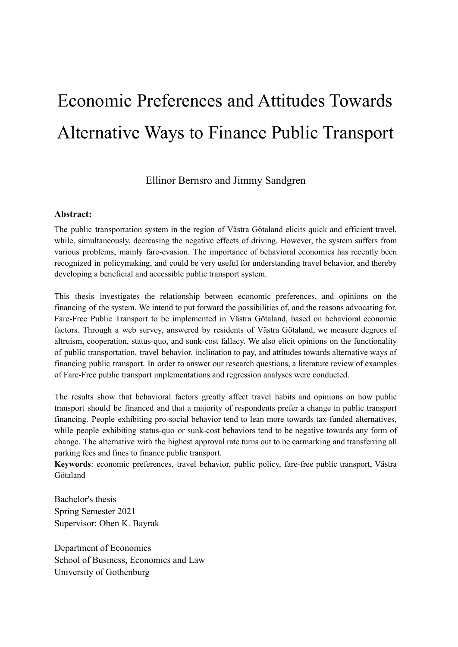# Economic Preferences and Attitudes Towards Alternative Ways to Finance Public Transport

Ellinor Bernsro and Jimmy Sandgren

### **Abstract:**

The public transportation system in the region of Västra Götaland elicits quick and efficient travel, while, simultaneously, decreasing the negative effects of driving. However, the system suffers from various problems, mainly fare-evasion. The importance of behavioral economics has recently been recognized in policymaking, and could be very useful for understanding travel behavior, and thereby developing a beneficial and accessible public transport system.

This thesis investigates the relationship between economic preferences, and opinions on the financing of the system. We intend to put forward the possibilities of, and the reasons advocating for, Fare-Free Public Transport to be implemented in Västra Götaland, based on behavioral economic factors. Through a web survey, answered by residents of Västra Götaland, we measure degrees of altruism, cooperation, status-quo, and sunk-cost fallacy. We also elicit opinions on the functionality of public transportation, travel behavior, inclination to pay, and attitudes towards alternative ways of financing public transport. In order to answer our research questions, a literature review of examples of Fare-Free public transport implementations and regression analyses were conducted.

The results show that behavioral factors greatly affect travel habits and opinions on how public transport should be financed and that a majority of respondents prefer a change in public transport financing. People exhibiting pro-social behavior tend to lean more towards tax-funded alternatives, while people exhibiting status-quo or sunk-cost behaviors tend to be negative towards any form of change. The alternative with the highest approval rate turns out to be earmarking and transferring all parking fees and fines to finance public transport.

**Keywords**: economic preferences, travel behavior, public policy, fare-free public transport, Västra Götaland

Bachelor's thesis Spring Semester 2021 Supervisor: Oben K. Bayrak

Department of Economics School of Business, Economics and Law University of Gothenburg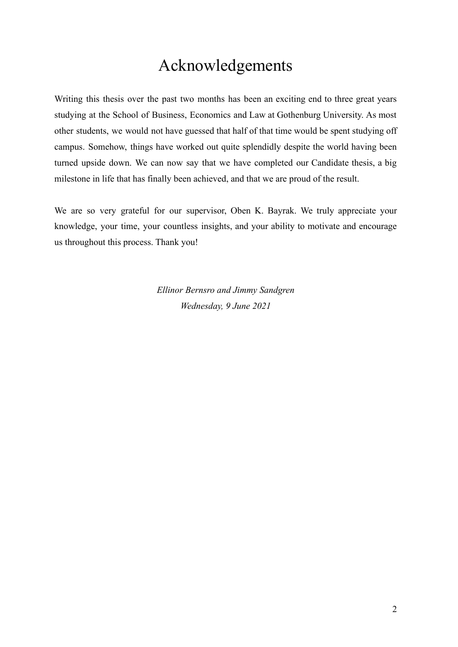# Acknowledgements

Writing this thesis over the past two months has been an exciting end to three great years studying at the School of Business, Economics and Law at Gothenburg University. As most other students, we would not have guessed that half of that time would be spent studying off campus. Somehow, things have worked out quite splendidly despite the world having been turned upside down. We can now say that we have completed our Candidate thesis, a big milestone in life that has finally been achieved, and that we are proud of the result.

We are so very grateful for our supervisor, Oben K. Bayrak. We truly appreciate your knowledge, your time, your countless insights, and your ability to motivate and encourage us throughout this process. Thank you!

> *Ellinor Bernsro and Jimmy Sandgren Wednesday, 9 June 2021*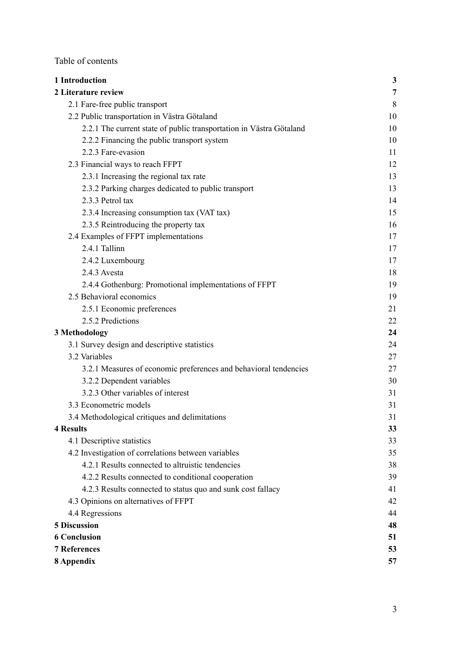Table of contents

| 1 Introduction                                                      | $\mathbf{3}$ |
|---------------------------------------------------------------------|--------------|
| 2 Literature review                                                 | 7            |
| 2.1 Fare-free public transport                                      | 8            |
| 2.2 Public transportation in Västra Götaland                        | 10           |
| 2.2.1 The current state of public transportation in Västra Götaland | 10           |
| 2.2.2 Financing the public transport system                         | 10           |
| 2.2.3 Fare-evasion                                                  | 11           |
| 2.3 Financial ways to reach FFPT                                    | 12           |
| 2.3.1 Increasing the regional tax rate                              | 13           |
| 2.3.2 Parking charges dedicated to public transport                 | 13           |
| 2.3.3 Petrol tax                                                    | 14           |
| 2.3.4 Increasing consumption tax (VAT tax)                          | 15           |
| 2.3.5 Reintroducing the property tax                                | 16           |
| 2.4 Examples of FFPT implementations                                | 17           |
| 2.4.1 Tallinn                                                       | 17           |
| 2.4.2 Luxembourg                                                    | 17           |
| 2.4.3 Avesta                                                        | 18           |
| 2.4.4 Gothenburg: Promotional implementations of FFPT               | 19           |
| 2.5 Behavioral economics                                            | 19           |
| 2.5.1 Economic preferences                                          | 21           |
| 2.5.2 Predictions                                                   | 22           |
| 3 Methodology                                                       | 24           |
| 3.1 Survey design and descriptive statistics                        | 24           |
| 3.2 Variables                                                       | 27           |
| 3.2.1 Measures of economic preferences and behavioral tendencies    | 27           |
| 3.2.2 Dependent variables                                           | 30           |
| 3.2.3 Other variables of interest                                   | 31           |
| 3.3 Econometric models                                              | 31           |
| 3.4 Methodological critiques and delimitations                      | 31           |
| <b>4 Results</b>                                                    | 33           |
| 4.1 Descriptive statistics                                          | 33           |
| 4.2 Investigation of correlations between variables                 | 35           |
| 4.2.1 Results connected to altruistic tendencies                    | 38           |
| 4.2.2 Results connected to conditional cooperation                  | 39           |
| 4.2.3 Results connected to status quo and sunk cost fallacy         | 41           |
| 4.3 Opinions on alternatives of FFPT                                | 42           |
| 4.4 Regressions                                                     | 44           |
| <b>5 Discussion</b>                                                 | 48           |
| <b>6 Conclusion</b>                                                 | 51           |
| <b>7 References</b>                                                 | 53           |
| 8 Appendix                                                          | 57           |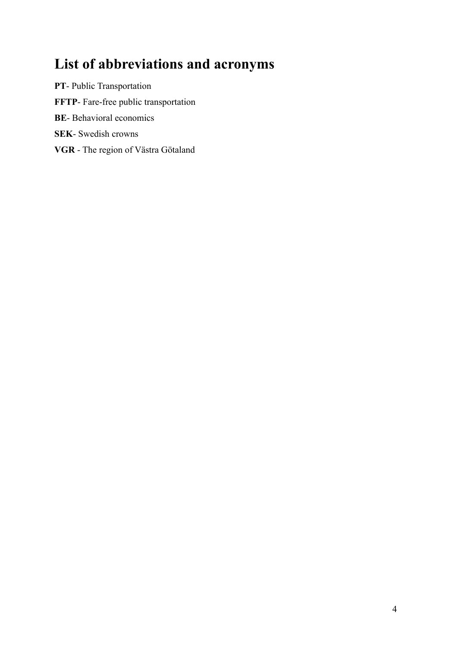# **List of abbreviations and acronyms**

**PT**- Public Transportation **FFTP**- Fare-free public transportation **BE**- Behavioral economics **SEK**- Swedish crowns **VGR** - The region of Västra Götaland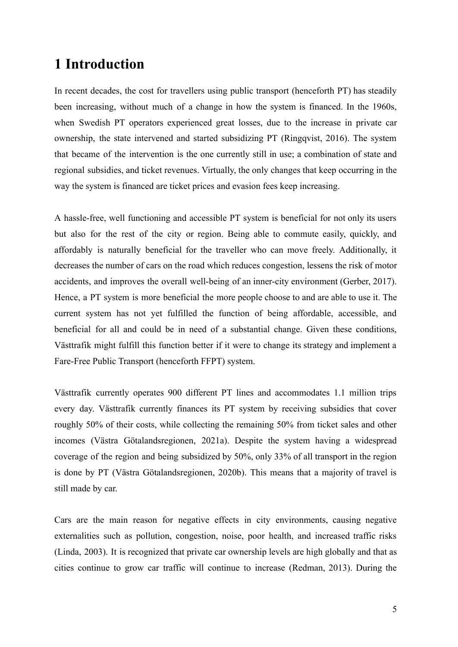# <span id="page-4-0"></span>**1 Introduction**

In recent decades, the cost for travellers using public transport (henceforth PT) has steadily been increasing, without much of a change in how the system is financed. In the 1960s, when Swedish PT operators experienced great losses, due to the increase in private car ownership, the state intervened and started subsidizing PT (Ringqvist, 2016). The system that became of the intervention is the one currently still in use; a combination of state and regional subsidies, and ticket revenues. Virtually, the only changes that keep occurring in the way the system is financed are ticket prices and evasion fees keep increasing.

A hassle-free, well functioning and accessible PT system is beneficial for not only its users but also for the rest of the city or region. Being able to commute easily, quickly, and affordably is naturally beneficial for the traveller who can move freely. Additionally, it decreases the number of cars on the road which reduces congestion, lessens the risk of motor accidents, and improves the overall well-being of an inner-city environment (Gerber, 2017). Hence, a PT system is more beneficial the more people choose to and are able to use it. The current system has not yet fulfilled the function of being affordable, accessible, and beneficial for all and could be in need of a substantial change. Given these conditions, Västtrafik might fulfill this function better if it were to change its strategy and implement a Fare-Free Public Transport (henceforth FFPT) system.

Västtrafik currently operates 900 different PT lines and accommodates 1.1 million trips every day. Västtrafik currently finances its PT system by receiving subsidies that cover roughly 50% of their costs, while collecting the remaining 50% from ticket sales and other incomes (Västra Götalandsregionen, 2021a). Despite the system having a widespread coverage of the region and being subsidized by 50%, only 33% of all transport in the region is done by PT (Västra Götalandsregionen, 2020b). This means that a majority of travel is still made by car.

Cars are the main reason for negative effects in city environments, causing negative externalities such as pollution, congestion, noise, poor health, and increased traffic risks (Linda, 2003). It is recognized that private car ownership levels are high globally and that as cities continue to grow car traffic will continue to increase (Redman, 2013). During the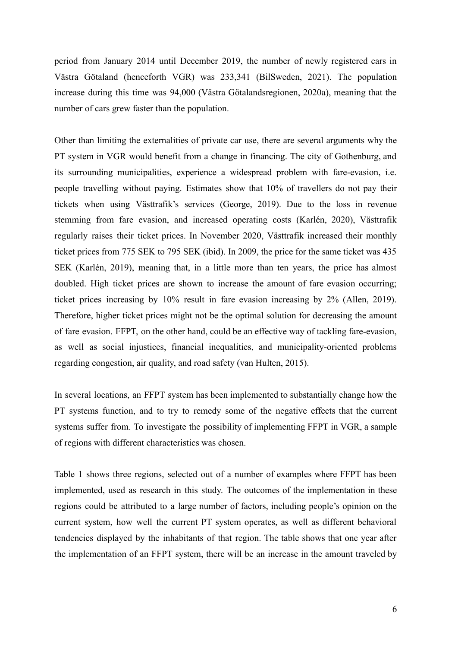period from January 2014 until December 2019, the number of newly registered cars in Västra Götaland (henceforth VGR) was 233,341 (BilSweden, 2021). The population increase during this time was 94,000 (Västra Götalandsregionen, 2020a), meaning that the number of cars grew faster than the population.

Other than limiting the externalities of private car use, there are several arguments why the PT system in VGR would benefit from a change in financing. The city of Gothenburg, and its surrounding municipalities, experience a widespread problem with fare-evasion, i.e. people travelling without paying. Estimates show that 10% of travellers do not pay their tickets when using Västtrafik's services (George, 2019). Due to the loss in revenue stemming from fare evasion, and increased operating costs (Karlén, 2020), Västtrafik regularly raises their ticket prices. In November 2020, Västtrafik increased their monthly ticket prices from 775 SEK to 795 SEK (ibid). In 2009, the price for the same ticket was 435 SEK (Karlén, 2019), meaning that, in a little more than ten years, the price has almost doubled. High ticket prices are shown to increase the amount of fare evasion occurring; ticket prices increasing by 10% result in fare evasion increasing by 2% (Allen, 2019). Therefore, higher ticket prices might not be the optimal solution for decreasing the amount of fare evasion. FFPT, on the other hand, could be an effective way of tackling fare-evasion, as well as social injustices, financial inequalities, and municipality-oriented problems regarding congestion, air quality, and road safety (van Hulten, 2015).

In several locations, an FFPT system has been implemented to substantially change how the PT systems function, and to try to remedy some of the negative effects that the current systems suffer from. To investigate the possibility of implementing FFPT in VGR, a sample of regions with different characteristics was chosen.

Table 1 shows three regions, selected out of a number of examples where FFPT has been implemented, used as research in this study. The outcomes of the implementation in these regions could be attributed to a large number of factors, including people's opinion on the current system, how well the current PT system operates, as well as different behavioral tendencies displayed by the inhabitants of that region. The table shows that one year after the implementation of an FFPT system, there will be an increase in the amount traveled by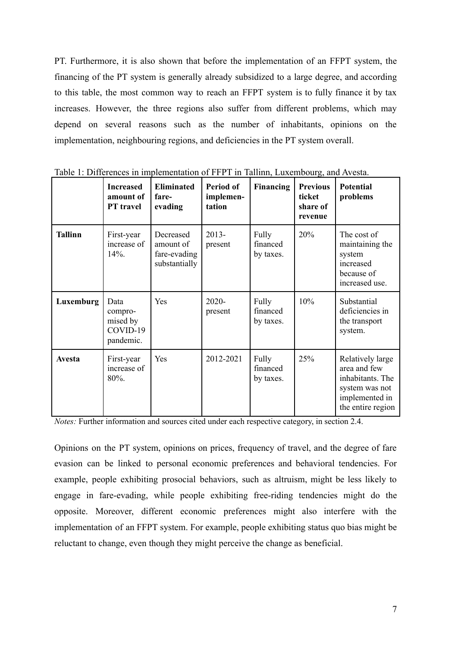PT. Furthermore, it is also shown that before the implementation of an FFPT system, the financing of the PT system is generally already subsidized to a large degree, and according to this table, the most common way to reach an FFPT system is to fully finance it by tax increases. However, the three regions also suffer from different problems, which may depend on several reasons such as the number of inhabitants, opinions on the implementation, neighbouring regions, and deficiencies in the PT system overall.

|                | <b>Increased</b><br>amount of<br><b>PT</b> travel    | <b>Eliminated</b><br>fare-<br>evading                   | Period of<br>implemen-<br>tation | Financing                      | <b>Previous</b><br>ticket<br>share of<br>revenue | <b>Potential</b><br>problems                                                                                  |
|----------------|------------------------------------------------------|---------------------------------------------------------|----------------------------------|--------------------------------|--------------------------------------------------|---------------------------------------------------------------------------------------------------------------|
| <b>Tallinn</b> | First-year<br>increase of<br>$14\%$ .                | Decreased<br>amount of<br>fare-evading<br>substantially | $2013 -$<br>present              | Fully<br>financed<br>by taxes. | 20%                                              | The cost of<br>maintaining the<br>system<br>increased<br>because of<br>increased use.                         |
| Luxemburg      | Data<br>compro-<br>mised by<br>COVID-19<br>pandemic. | Yes                                                     | $2020 -$<br>present              | Fully<br>financed<br>by taxes. | 10%                                              | Substantial<br>deficiencies in<br>the transport<br>system.                                                    |
| <b>Avesta</b>  | First-year<br>increase of<br>80%.                    | Yes                                                     | 2012-2021                        | Fully<br>financed<br>by taxes. | 25%                                              | Relatively large<br>area and few<br>inhabitants. The<br>system was not<br>implemented in<br>the entire region |

Table 1: Differences in implementation of FFPT in Tallinn, Luxembourg, and Avesta.

*Notes:* Further information and sources cited under each respective category, in section 2.4.

Opinions on the PT system, opinions on prices, frequency of travel, and the degree of fare evasion can be linked to personal economic preferences and behavioral tendencies. For example, people exhibiting prosocial behaviors, such as altruism, might be less likely to engage in fare-evading, while people exhibiting free-riding tendencies might do the opposite. Moreover, different economic preferences might also interfere with the implementation of an FFPT system. For example, people exhibiting status quo bias might be reluctant to change, even though they might perceive the change as beneficial.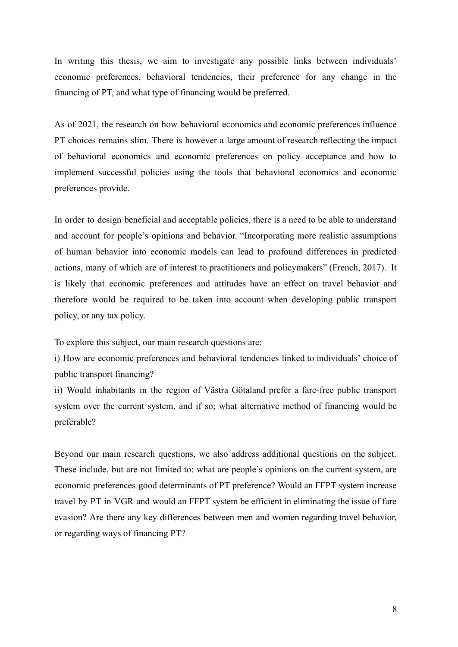In writing this thesis, we aim to investigate any possible links between individuals' economic preferences, behavioral tendencies, their preference for any change in the financing of PT, and what type of financing would be preferred.

As of 2021, the research on how behavioral economics and economic preferences influence PT choices remains slim. There is however a large amount of research reflecting the impact of behavioral economics and economic preferences on policy acceptance and how to implement successful policies using the tools that behavioral economics and economic preferences provide.

In order to design beneficial and acceptable policies, there is a need to be able to understand and account for people's opinions and behavior. "Incorporating more realistic assumptions of human behavior into economic models can lead to profound differences in predicted actions, many of which are of interest to practitioners and policymakers" (French, 2017). It is likely that economic preferences and attitudes have an effect on travel behavior and therefore would be required to be taken into account when developing public transport policy, or any tax policy.

To explore this subject, our main research questions are:

i) How are economic preferences and behavioral tendencies linked to individuals' choice of public transport financing?

ii) Would inhabitants in the region of Västra Götaland prefer a fare-free public transport system over the current system, and if so; what alternative method of financing would be preferable?

Beyond our main research questions, we also address additional questions on the subject. These include, but are not limited to: what are people's opinions on the current system, are economic preferences good determinants of PT preference? Would an FFPT system increase travel by PT in VGR and would an FFPT system be efficient in eliminating the issue of fare evasion? Are there any key differences between men and women regarding travel behavior, or regarding ways of financing PT?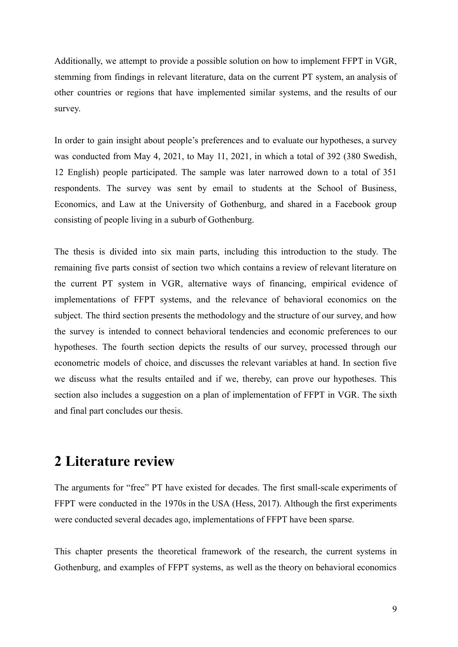Additionally, we attempt to provide a possible solution on how to implement FFPT in VGR, stemming from findings in relevant literature, data on the current PT system, an analysis of other countries or regions that have implemented similar systems, and the results of our survey.

In order to gain insight about people's preferences and to evaluate our hypotheses, a survey was conducted from May 4, 2021, to May 11, 2021, in which a total of 392 (380 Swedish, 12 English) people participated. The sample was later narrowed down to a total of 351 respondents. The survey was sent by email to students at the School of Business, Economics, and Law at the University of Gothenburg, and shared in a Facebook group consisting of people living in a suburb of Gothenburg.

The thesis is divided into six main parts, including this introduction to the study. The remaining five parts consist of section two which contains a review of relevant literature on the current PT system in VGR, alternative ways of financing, empirical evidence of implementations of FFPT systems, and the relevance of behavioral economics on the subject. The third section presents the methodology and the structure of our survey, and how the survey is intended to connect behavioral tendencies and economic preferences to our hypotheses. The fourth section depicts the results of our survey, processed through our econometric models of choice, and discusses the relevant variables at hand. In section five we discuss what the results entailed and if we, thereby, can prove our hypotheses. This section also includes a suggestion on a plan of implementation of FFPT in VGR. The sixth and final part concludes our thesis.

## <span id="page-8-0"></span>**2 Literature review**

The arguments for "free" PT have existed for decades. The first small-scale experiments of FFPT were conducted in the 1970s in the USA (Hess, 2017). Although the first experiments were conducted several decades ago, implementations of FFPT have been sparse.

This chapter presents the theoretical framework of the research, the current systems in Gothenburg, and examples of FFPT systems, as well as the theory on behavioral economics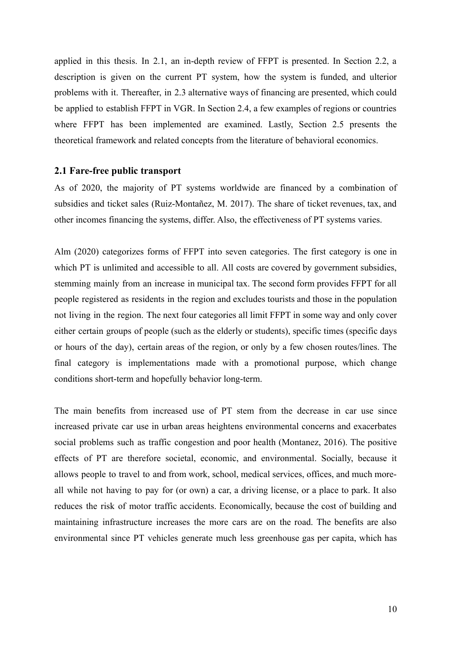applied in this thesis. In 2.1, an in-depth review of FFPT is presented. In Section 2.2, a description is given on the current PT system, how the system is funded, and ulterior problems with it. Thereafter, in 2.3 alternative ways of financing are presented, which could be applied to establish FFPT in VGR. In Section 2.4, a few examples of regions or countries where FFPT has been implemented are examined. Lastly, Section 2.5 presents the theoretical framework and related concepts from the literature of behavioral economics.

### <span id="page-9-0"></span>**2.1 Fare-free public transport**

As of 2020, the majority of PT systems worldwide are financed by a combination of subsidies and ticket sales (Ruiz-Montañez, M. 2017). The share of ticket revenues, tax, and other incomes financing the systems, differ. Also, the effectiveness of PT systems varies.

Alm (2020) categorizes forms of FFPT into seven categories. The first category is one in which PT is unlimited and accessible to all. All costs are covered by government subsidies, stemming mainly from an increase in municipal tax. The second form provides FFPT for all people registered as residents in the region and excludes tourists and those in the population not living in the region. The next four categories all limit FFPT in some way and only cover either certain groups of people (such as the elderly or students), specific times (specific days or hours of the day), certain areas of the region, or only by a few chosen routes/lines. The final category is implementations made with a promotional purpose, which change conditions short-term and hopefully behavior long-term.

The main benefits from increased use of PT stem from the decrease in car use since increased private car use in urban areas heightens environmental concerns and exacerbates social problems such as traffic congestion and poor health (Montanez, 2016). The positive effects of PT are therefore societal, economic, and environmental. Socially, because it allows people to travel to and from work, school, medical services, offices, and much moreall while not having to pay for (or own) a car, a driving license, or a place to park. It also reduces the risk of motor traffic accidents. Economically, because the cost of building and maintaining infrastructure increases the more cars are on the road. The benefits are also environmental since PT vehicles generate much less greenhouse gas per capita, which has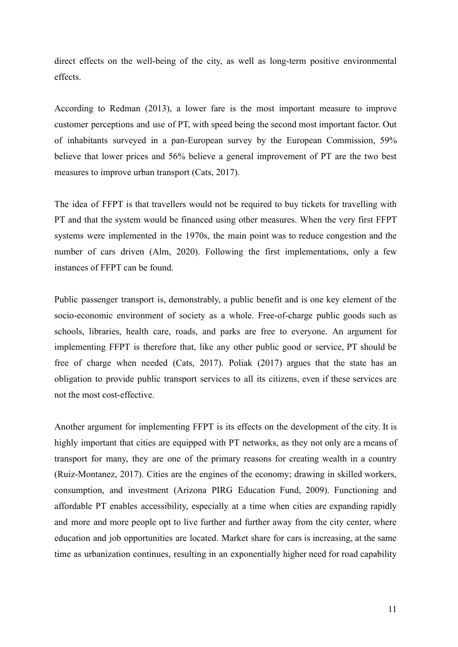direct effects on the well-being of the city, as well as long-term positive environmental effects.

According to Redman (2013), a lower fare is the most important measure to improve customer perceptions and use of PT, with speed being the second most important factor. Out of inhabitants surveyed in a pan-European survey by the European Commission, 59% believe that lower prices and 56% believe a general improvement of PT are the two best measures to improve urban transport (Cats, 2017).

The idea of FFPT is that travellers would not be required to buy tickets for travelling with PT and that the system would be financed using other measures. When the very first FFPT systems were implemented in the 1970s, the main point was to reduce congestion and the number of cars driven (Alm, 2020). Following the first implementations, only a few instances of FFPT can be found.

Public passenger transport is, demonstrably, a public benefit and is one key element of the socio-economic environment of society as a whole. Free-of-charge public goods such as schools, libraries, health care, roads, and parks are free to everyone. An argument for implementing FFPT is therefore that, like any other public good or service, PT should be free of charge when needed (Cats, 2017). Poliak (2017) argues that the state has an obligation to provide public transport services to all its citizens, even if these services are not the most cost-effective.

Another argument for implementing FFPT is its effects on the development of the city. It is highly important that cities are equipped with PT networks, as they not only are a means of transport for many, they are one of the primary reasons for creating wealth in a country (Ruiz-Montanez, 2017). Cities are the engines of the economy; drawing in skilled workers, consumption, and investment (Arizona PIRG Education Fund, 2009). Functioning and affordable PT enables accessibility, especially at a time when cities are expanding rapidly and more and more people opt to live further and further away from the city center, where education and job opportunities are located. Market share for cars is increasing, at the same time as urbanization continues, resulting in an exponentially higher need for road capability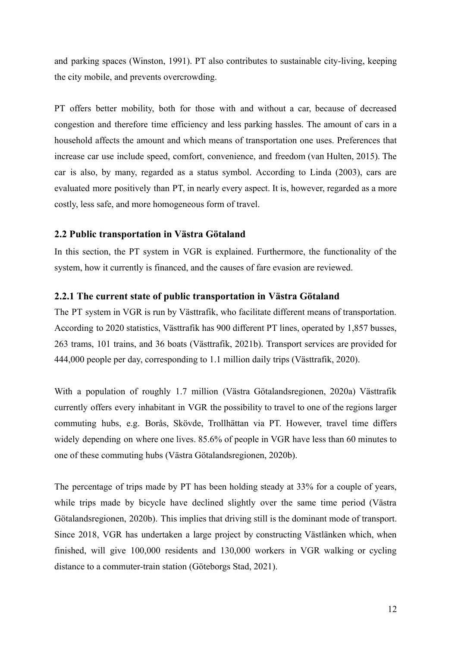and parking spaces (Winston, 1991). PT also contributes to sustainable city-living, keeping the city mobile, and prevents overcrowding.

PT offers better mobility, both for those with and without a car, because of decreased congestion and therefore time efficiency and less parking hassles. The amount of cars in a household affects the amount and which means of transportation one uses. Preferences that increase car use include speed, comfort, convenience, and freedom (van Hulten, 2015). The car is also, by many, regarded as a status symbol. According to Linda (2003), cars are evaluated more positively than PT, in nearly every aspect. It is, however, regarded as a more costly, less safe, and more homogeneous form of travel.

### <span id="page-11-0"></span>**2.2 Public transportation in Västra Götaland**

In this section, the PT system in VGR is explained. Furthermore, the functionality of the system, how it currently is financed, and the causes of fare evasion are reviewed.

### <span id="page-11-1"></span>**2.2.1 The current state of public transportation in Västra Götaland**

The PT system in VGR is run by Västtrafik, who facilitate different means of transportation. According to 2020 statistics, Västtrafik has 900 different PT lines, operated by 1,857 busses, 263 trams, 101 trains, and 36 boats (Västtrafik, 2021b). Transport services are provided for 444,000 people per day, corresponding to 1.1 million daily trips (Västtrafik, 2020).

With a population of roughly 1.7 million (Västra Götalandsregionen, 2020a) Västtrafik currently offers every inhabitant in VGR the possibility to travel to one of the regions larger commuting hubs, e.g. Borås, Skövde, Trollhättan via PT. However, travel time differs widely depending on where one lives. 85.6% of people in VGR have less than 60 minutes to one of these commuting hubs (Västra Götalandsregionen, 2020b).

The percentage of trips made by PT has been holding steady at 33% for a couple of years, while trips made by bicycle have declined slightly over the same time period (Västra Götalandsregionen, 2020b). This implies that driving still is the dominant mode of transport. Since 2018, VGR has undertaken a large project by constructing Västlänken which, when finished, will give 100,000 residents and 130,000 workers in VGR walking or cycling distance to a commuter-train station (Göteborgs Stad, 2021).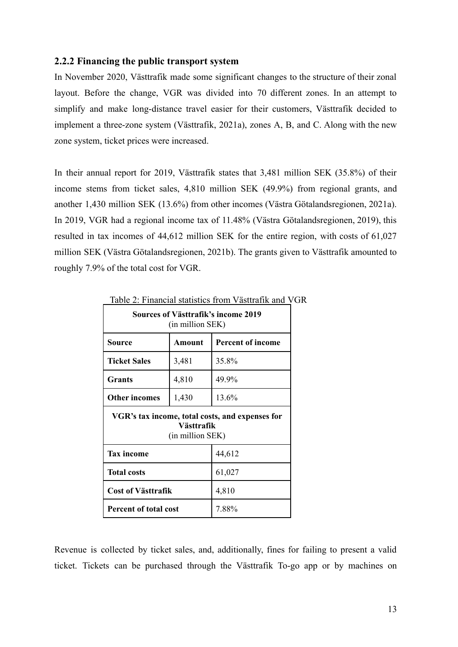### <span id="page-12-0"></span>**2.2.2 Financing the public transport system**

In November 2020, Västtrafik made some significant changes to the structure of their zonal layout. Before the change, VGR was divided into 70 different zones. In an attempt to simplify and make long-distance travel easier for their customers, Västtrafik decided to implement a three-zone system (Västtrafik, 2021a), zones A, B, and C. Along with the new zone system, ticket prices were increased.

In their annual report for 2019, Västtrafik states that 3,481 million SEK (35.8%) of their income stems from ticket sales, 4,810 million SEK (49.9%) from regional grants, and another 1,430 million SEK (13.6%) from other incomes (Västra Götalandsregionen, 2021a). In 2019, VGR had a regional income tax of 11.48% (Västra Götalandsregionen, 2019), this resulted in tax incomes of 44,612 million SEK for the entire region, with costs of 61,027 million SEK (Västra Götalandsregionen, 2021b). The grants given to Västtrafik amounted to roughly 7.9% of the total cost for VGR.

| Sources of Västtrafik's income 2019<br>(in million SEK) |                                |                                                 |  |  |  |  |
|---------------------------------------------------------|--------------------------------|-------------------------------------------------|--|--|--|--|
| Source                                                  | Amount                         | <b>Percent of income</b>                        |  |  |  |  |
| <b>Ticket Sales</b>                                     | 35.8%                          |                                                 |  |  |  |  |
| Grants                                                  | 49.9%                          |                                                 |  |  |  |  |
| <b>Other incomes</b>                                    | 13.6%                          |                                                 |  |  |  |  |
|                                                         | Västtrafik<br>(in million SEK) | VGR's tax income, total costs, and expenses for |  |  |  |  |
| <b>Tax income</b>                                       |                                | 44,612                                          |  |  |  |  |
| <b>Total costs</b>                                      |                                | 61,027                                          |  |  |  |  |
| <b>Cost of Västtrafik</b>                               |                                | 4,810                                           |  |  |  |  |
| Percent of total cost                                   |                                | 7.88%                                           |  |  |  |  |

### Table 2: Financial statistics from Västtrafik and VGR

Revenue is collected by ticket sales, and, additionally, fines for failing to present a valid ticket. Tickets can be purchased through the Västtrafik To-go app or by machines on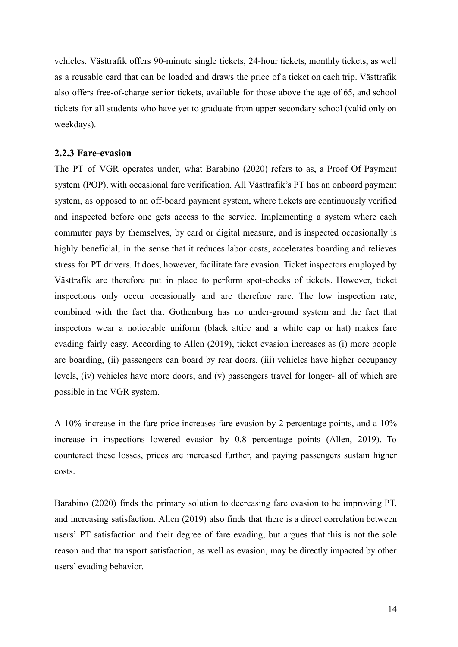vehicles. Västtrafik offers 90-minute single tickets, 24-hour tickets, monthly tickets, as well as a reusable card that can be loaded and draws the price of a ticket on each trip. Västtrafik also offers free-of-charge senior tickets, available for those above the age of 65, and school tickets for all students who have yet to graduate from upper secondary school (valid only on weekdays).

### <span id="page-13-0"></span>**2.2.3 Fare-evasion**

The PT of VGR operates under, what Barabino (2020) refers to as, a Proof Of Payment system (POP), with occasional fare verification. All Västtrafik's PT has an onboard payment system, as opposed to an off-board payment system, where tickets are continuously verified and inspected before one gets access to the service. Implementing a system where each commuter pays by themselves, by card or digital measure, and is inspected occasionally is highly beneficial, in the sense that it reduces labor costs, accelerates boarding and relieves stress for PT drivers. It does, however, facilitate fare evasion. Ticket inspectors employed by Västtrafik are therefore put in place to perform spot-checks of tickets. However, ticket inspections only occur occasionally and are therefore rare. The low inspection rate, combined with the fact that Gothenburg has no under-ground system and the fact that inspectors wear a noticeable uniform (black attire and a white cap or hat) makes fare evading fairly easy. According to Allen (2019), ticket evasion increases as (i) more people are boarding, (ii) passengers can board by rear doors, (iii) vehicles have higher occupancy levels, (iv) vehicles have more doors, and (v) passengers travel for longer- all of which are possible in the VGR system.

A 10% increase in the fare price increases fare evasion by 2 percentage points, and a 10% increase in inspections lowered evasion by 0.8 percentage points (Allen, 2019). To counteract these losses, prices are increased further, and paying passengers sustain higher costs.

Barabino (2020) finds the primary solution to decreasing fare evasion to be improving PT, and increasing satisfaction. Allen (2019) also finds that there is a direct correlation between users' PT satisfaction and their degree of fare evading, but argues that this is not the sole reason and that transport satisfaction, as well as evasion, may be directly impacted by other users' evading behavior.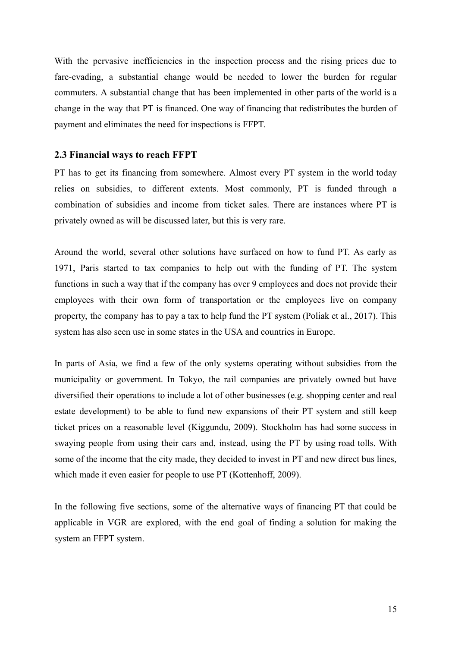With the pervasive inefficiencies in the inspection process and the rising prices due to fare-evading, a substantial change would be needed to lower the burden for regular commuters. A substantial change that has been implemented in other parts of the world is a change in the way that PT is financed. One way of financing that redistributes the burden of payment and eliminates the need for inspections is FFPT.

### <span id="page-14-0"></span>**2.3 Financial ways to reach FFPT**

PT has to get its financing from somewhere. Almost every PT system in the world today relies on subsidies, to different extents. Most commonly, PT is funded through a combination of subsidies and income from ticket sales. There are instances where PT is privately owned as will be discussed later, but this is very rare.

Around the world, several other solutions have surfaced on how to fund PT. As early as 1971, Paris started to tax companies to help out with the funding of PT. The system functions in such a way that if the company has over 9 employees and does not provide their employees with their own form of transportation or the employees live on company property, the company has to pay a tax to help fund the PT system (Poliak et al., 2017). This system has also seen use in some states in the USA and countries in Europe.

In parts of Asia, we find a few of the only systems operating without subsidies from the municipality or government. In Tokyo, the rail companies are privately owned but have diversified their operations to include a lot of other businesses (e.g. shopping center and real estate development) to be able to fund new expansions of their PT system and still keep ticket prices on a reasonable level (Kiggundu, 2009). Stockholm has had some success in swaying people from using their cars and, instead, using the PT by using road tolls. With some of the income that the city made, they decided to invest in PT and new direct bus lines, which made it even easier for people to use PT (Kottenhoff, 2009).

In the following five sections, some of the alternative ways of financing PT that could be applicable in VGR are explored, with the end goal of finding a solution for making the system an FFPT system.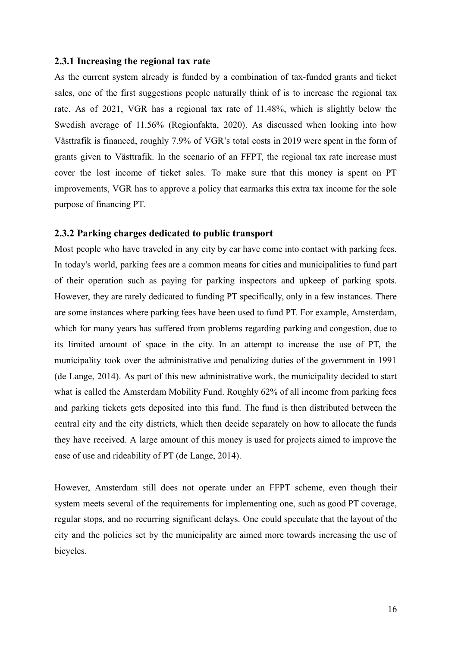### <span id="page-15-0"></span>**2.3.1 Increasing the regional tax rate**

As the current system already is funded by a combination of tax-funded grants and ticket sales, one of the first suggestions people naturally think of is to increase the regional tax rate. As of 2021, VGR has a regional tax rate of 11.48%, which is slightly below the Swedish average of 11.56% (Regionfakta, 2020). As discussed when looking into how Västtrafik is financed, roughly 7.9% of VGR's total costs in 2019 were spent in the form of grants given to Västtrafik. In the scenario of an FFPT, the regional tax rate increase must cover the lost income of ticket sales. To make sure that this money is spent on PT improvements, VGR has to approve a policy that earmarks this extra tax income for the sole purpose of financing PT.

### <span id="page-15-1"></span>**2.3.2 Parking charges dedicated to public transport**

Most people who have traveled in any city by car have come into contact with parking fees. In today's world, parking fees are a common means for cities and municipalities to fund part of their operation such as paying for parking inspectors and upkeep of parking spots. However, they are rarely dedicated to funding PT specifically, only in a few instances. There are some instances where parking fees have been used to fund PT. For example, Amsterdam, which for many years has suffered from problems regarding parking and congestion, due to its limited amount of space in the city. In an attempt to increase the use of PT, the municipality took over the administrative and penalizing duties of the government in 1991 (de Lange, 2014). As part of this new administrative work, the municipality decided to start what is called the Amsterdam Mobility Fund. Roughly 62% of all income from parking fees and parking tickets gets deposited into this fund. The fund is then distributed between the central city and the city districts, which then decide separately on how to allocate the funds they have received. A large amount of this money is used for projects aimed to improve the ease of use and rideability of PT (de Lange, 2014).

However, Amsterdam still does not operate under an FFPT scheme, even though their system meets several of the requirements for implementing one, such as good PT coverage, regular stops, and no recurring significant delays. One could speculate that the layout of the city and the policies set by the municipality are aimed more towards increasing the use of bicycles.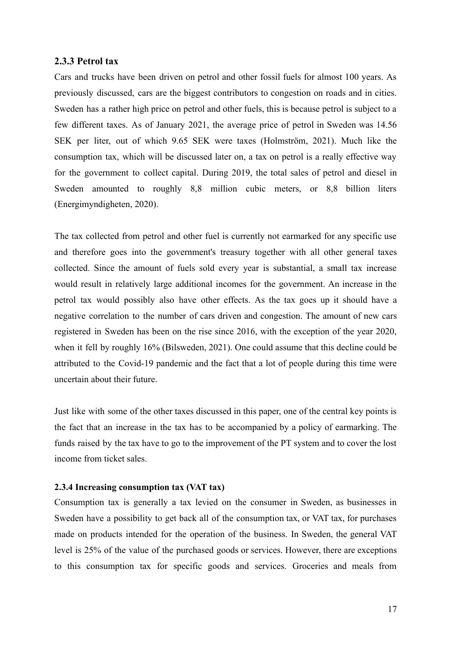### <span id="page-16-0"></span>**2.3.3 Petrol tax**

Cars and trucks have been driven on petrol and other fossil fuels for almost 100 years. As previously discussed, cars are the biggest contributors to congestion on roads and in cities. Sweden has a rather high price on petrol and other fuels, this is because petrol is subject to a few different taxes. As of January 2021, the average price of petrol in Sweden was 14.56 SEK per liter, out of which 9.65 SEK were taxes (Holmström, 2021). Much like the consumption tax, which will be discussed later on, a tax on petrol is a really effective way for the government to collect capital. During 2019, the total sales of petrol and diesel in Sweden amounted to roughly 8,8 million cubic meters, or 8,8 billion liters (Energimyndigheten, 2020).

The tax collected from petrol and other fuel is currently not earmarked for any specific use and therefore goes into the government's treasury together with all other general taxes collected. Since the amount of fuels sold every year is substantial, a small tax increase would result in relatively large additional incomes for the government. An increase in the petrol tax would possibly also have other effects. As the tax goes up it should have a negative correlation to the number of cars driven and congestion. The amount of new cars registered in Sweden has been on the rise since 2016, with the exception of the year 2020, when it fell by roughly 16% (Bilsweden, 2021). One could assume that this decline could be attributed to the Covid-19 pandemic and the fact that a lot of people during this time were uncertain about their future.

Just like with some of the other taxes discussed in this paper, one of the central key points is the fact that an increase in the tax has to be accompanied by a policy of earmarking. The funds raised by the tax have to go to the improvement of the PT system and to cover the lost income from ticket sales.

### <span id="page-16-1"></span>**2.3.4 Increasing consumption tax (VAT tax)**

Consumption tax is generally a tax levied on the consumer in Sweden, as businesses in Sweden have a possibility to get back all of the consumption tax, or VAT tax, for purchases made on products intended for the operation of the business. In Sweden, the general VAT level is 25% of the value of the purchased goods or services. However, there are exceptions to this consumption tax for specific goods and services. Groceries and meals from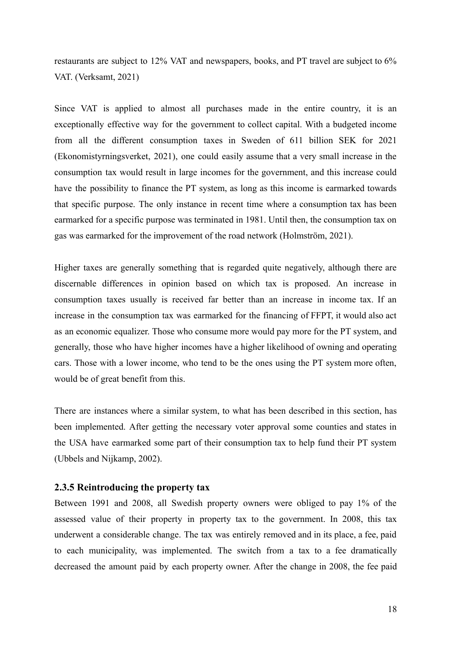restaurants are subject to 12% VAT and newspapers, books, and PT travel are subject to 6% VAT. (Verksamt, 2021)

Since VAT is applied to almost all purchases made in the entire country, it is an exceptionally effective way for the government to collect capital. With a budgeted income from all the different consumption taxes in Sweden of 611 billion SEK for 2021 (Ekonomistyrningsverket, 2021), one could easily assume that a very small increase in the consumption tax would result in large incomes for the government, and this increase could have the possibility to finance the PT system, as long as this income is earmarked towards that specific purpose. The only instance in recent time where a consumption tax has been earmarked for a specific purpose was terminated in 1981. Until then, the consumption tax on gas was earmarked for the improvement of the road network (Holmström, 2021).

Higher taxes are generally something that is regarded quite negatively, although there are discernable differences in opinion based on which tax is proposed. An increase in consumption taxes usually is received far better than an increase in income tax. If an increase in the consumption tax was earmarked for the financing of FFPT, it would also act as an economic equalizer. Those who consume more would pay more for the PT system, and generally, those who have higher incomes have a higher likelihood of owning and operating cars. Those with a lower income, who tend to be the ones using the PT system more often, would be of great benefit from this.

There are instances where a similar system, to what has been described in this section, has been implemented. After getting the necessary voter approval some counties and states in the USA have earmarked some part of their consumption tax to help fund their PT system (Ubbels and Nijkamp, 2002).

### <span id="page-17-0"></span>**2.3.5 Reintroducing the property tax**

Between 1991 and 2008, all Swedish property owners were obliged to pay 1% of the assessed value of their property in property tax to the government. In 2008, this tax underwent a considerable change. The tax was entirely removed and in its place, a fee, paid to each municipality, was implemented. The switch from a tax to a fee dramatically decreased the amount paid by each property owner. After the change in 2008, the fee paid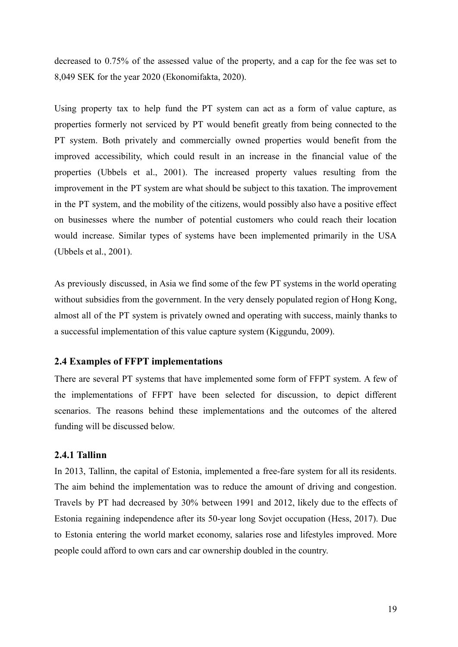decreased to 0.75% of the assessed value of the property, and a cap for the fee was set to 8,049 SEK for the year 2020 (Ekonomifakta, 2020).

Using property tax to help fund the PT system can act as a form of value capture, as properties formerly not serviced by PT would benefit greatly from being connected to the PT system. Both privately and commercially owned properties would benefit from the improved accessibility, which could result in an increase in the financial value of the properties (Ubbels et al., 2001). The increased property values resulting from the improvement in the PT system are what should be subject to this taxation. The improvement in the PT system, and the mobility of the citizens, would possibly also have a positive effect on businesses where the number of potential customers who could reach their location would increase. Similar types of systems have been implemented primarily in the USA (Ubbels et al., 2001).

As previously discussed, in Asia we find some of the few PT systems in the world operating without subsidies from the government. In the very densely populated region of Hong Kong, almost all of the PT system is privately owned and operating with success, mainly thanks to a successful implementation of this value capture system (Kiggundu, 2009).

### <span id="page-18-0"></span>**2.4 Examples of FFPT implementations**

There are several PT systems that have implemented some form of FFPT system. A few of the implementations of FFPT have been selected for discussion, to depict different scenarios. The reasons behind these implementations and the outcomes of the altered funding will be discussed below.

### <span id="page-18-1"></span>**2.4.1 Tallinn**

In 2013, Tallinn, the capital of Estonia, implemented a free-fare system for all its residents. The aim behind the implementation was to reduce the amount of driving and congestion. Travels by PT had decreased by 30% between 1991 and 2012, likely due to the effects of Estonia regaining independence after its 50-year long Sovjet occupation (Hess, 2017). Due to Estonia entering the world market economy, salaries rose and lifestyles improved. More people could afford to own cars and car ownership doubled in the country.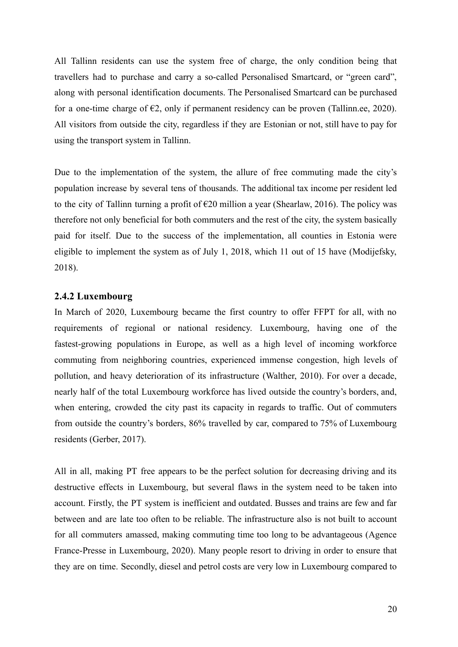All Tallinn residents can use the system free of charge, the only condition being that travellers had to purchase and carry a so-called Personalised Smartcard, or "green card", along with personal identification documents. The Personalised Smartcard can be purchased for a one-time charge of  $\epsilon$ 2, only if permanent residency can be proven (Tallinn.ee, 2020). All visitors from outside the city, regardless if they are Estonian or not, still have to pay for using the transport system in Tallinn.

Due to the implementation of the system, the allure of free commuting made the city's population increase by several tens of thousands. The additional tax income per resident led to the city of Tallinn turning a profit of  $\epsilon$ 20 million a year (Shearlaw, 2016). The policy was therefore not only beneficial for both commuters and the rest of the city, the system basically paid for itself. Due to the success of the implementation, all counties in Estonia were eligible to implement the system as of July 1, 2018, which 11 out of 15 have (Modijefsky, 2018).

### <span id="page-19-0"></span>**2.4.2 Luxembourg**

In March of 2020, Luxembourg became the first country to offer FFPT for all, with no requirements of regional or national residency. Luxembourg, having one of the fastest-growing populations in Europe, as well as a high level of incoming workforce commuting from neighboring countries, experienced immense congestion, high levels of pollution, and heavy deterioration of its infrastructure (Walther, 2010). For over a decade, nearly half of the total Luxembourg workforce has lived outside the country's borders, and, when entering, crowded the city past its capacity in regards to traffic. Out of commuters from outside the country's borders, 86% travelled by car, compared to 75% of Luxembourg residents (Gerber, 2017).

All in all, making PT free appears to be the perfect solution for decreasing driving and its destructive effects in Luxembourg, but several flaws in the system need to be taken into account. Firstly, the PT system is inefficient and outdated. Busses and trains are few and far between and are late too often to be reliable. The infrastructure also is not built to account for all commuters amassed, making commuting time too long to be advantageous (Agence France-Presse in Luxembourg, 2020). Many people resort to driving in order to ensure that they are on time. Secondly, diesel and petrol costs are very low in Luxembourg compared to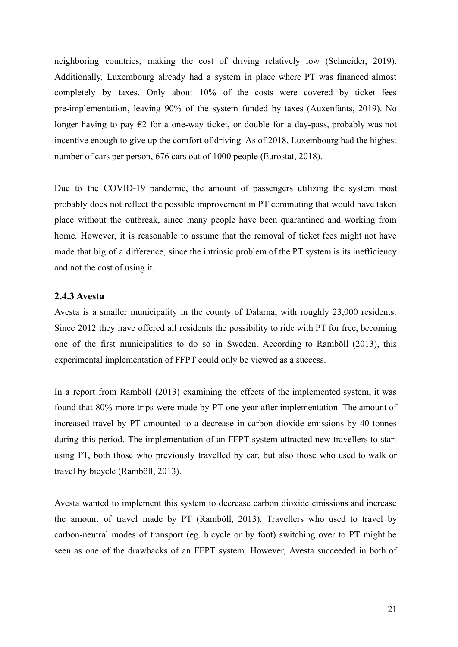neighboring countries, making the cost of driving relatively low (Schneider, 2019). Additionally, Luxembourg already had a system in place where PT was financed almost completely by taxes. Only about 10% of the costs were covered by ticket fees pre-implementation, leaving 90% of the system funded by taxes (Auxenfants, 2019). No longer having to pay  $\epsilon$ 2 for a one-way ticket, or double for a day-pass, probably was not incentive enough to give up the comfort of driving. As of 2018, Luxembourg had the highest number of cars per person, 676 cars out of 1000 people (Eurostat, 2018).

Due to the COVID-19 pandemic, the amount of passengers utilizing the system most probably does not reflect the possible improvement in PT commuting that would have taken place without the outbreak, since many people have been quarantined and working from home. However, it is reasonable to assume that the removal of ticket fees might not have made that big of a difference, since the intrinsic problem of the PT system is its inefficiency and not the cost of using it.

### <span id="page-20-0"></span>**2.4.3 Avesta**

Avesta is a smaller municipality in the county of Dalarna, with roughly 23,000 residents. Since 2012 they have offered all residents the possibility to ride with PT for free, becoming one of the first municipalities to do so in Sweden. According to Ramböll (2013), this experimental implementation of FFPT could only be viewed as a success.

In a report from Ramböll (2013) examining the effects of the implemented system, it was found that 80% more trips were made by PT one year after implementation. The amount of increased travel by PT amounted to a decrease in carbon dioxide emissions by 40 tonnes during this period. The implementation of an FFPT system attracted new travellers to start using PT, both those who previously travelled by car, but also those who used to walk or travel by bicycle (Ramböll, 2013).

Avesta wanted to implement this system to decrease carbon dioxide emissions and increase the amount of travel made by PT (Ramböll, 2013). Travellers who used to travel by carbon-neutral modes of transport (eg. bicycle or by foot) switching over to PT might be seen as one of the drawbacks of an FFPT system. However, Avesta succeeded in both of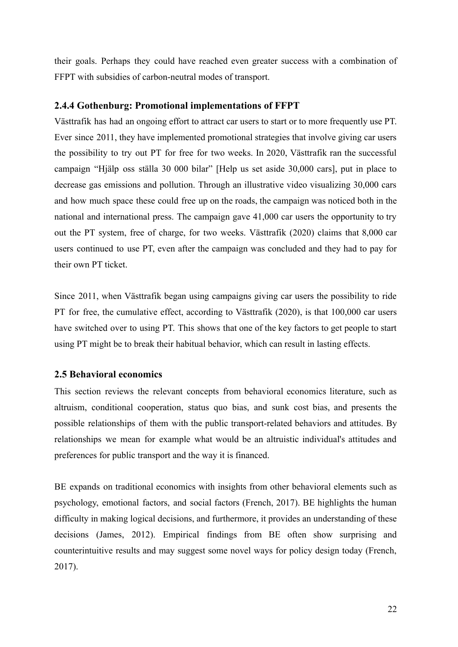their goals. Perhaps they could have reached even greater success with a combination of FFPT with subsidies of carbon-neutral modes of transport.

### <span id="page-21-0"></span>**2.4.4 Gothenburg: Promotional implementations of FFPT**

Västtrafik has had an ongoing effort to attract car users to start or to more frequently use PT. Ever since 2011, they have implemented promotional strategies that involve giving car users the possibility to try out PT for free for two weeks. In 2020, Västtrafik ran the successful campaign "Hjälp oss ställa 30 000 bilar" [Help us set aside 30,000 cars], put in place to decrease gas emissions and pollution. Through an illustrative video visualizing 30,000 cars and how much space these could free up on the roads, the campaign was noticed both in the national and international press. The campaign gave 41,000 car users the opportunity to try out the PT system, free of charge, for two weeks. Västtrafik (2020) claims that 8,000 car users continued to use PT, even after the campaign was concluded and they had to pay for their own PT ticket.

Since 2011, when Västtrafik began using campaigns giving car users the possibility to ride PT for free, the cumulative effect, according to Västtrafik (2020), is that 100,000 car users have switched over to using PT. This shows that one of the key factors to get people to start using PT might be to break their habitual behavior, which can result in lasting effects.

### <span id="page-21-1"></span>**2.5 Behavioral economics**

This section reviews the relevant concepts from behavioral economics literature, such as altruism, conditional cooperation, status quo bias, and sunk cost bias, and presents the possible relationships of them with the public transport-related behaviors and attitudes. By relationships we mean for example what would be an altruistic individual's attitudes and preferences for public transport and the way it is financed.

BE expands on traditional economics with insights from other behavioral elements such as psychology, emotional factors, and social factors (French, 2017). BE highlights the human difficulty in making logical decisions, and furthermore, it provides an understanding of these decisions (James, 2012). Empirical findings from BE often show surprising and counterintuitive results and may suggest some novel ways for policy design today (French, 2017).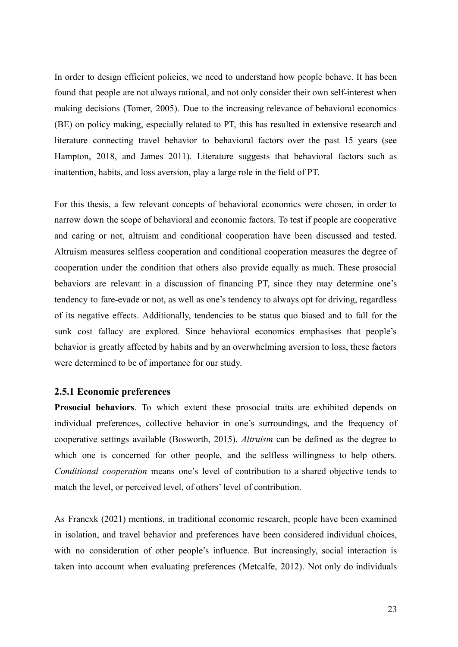In order to design efficient policies, we need to understand how people behave. It has been found that people are not always rational, and not only consider their own self-interest when making decisions (Tomer, 2005). Due to the increasing relevance of behavioral economics (BE) on policy making, especially related to PT, this has resulted in extensive research and literature connecting travel behavior to behavioral factors over the past 15 years (see Hampton, 2018, and James 2011). Literature suggests that behavioral factors such as inattention, habits, and loss aversion, play a large role in the field of PT.

For this thesis, a few relevant concepts of behavioral economics were chosen, in order to narrow down the scope of behavioral and economic factors. To test if people are cooperative and caring or not, altruism and conditional cooperation have been discussed and tested. Altruism measures selfless cooperation and conditional cooperation measures the degree of cooperation under the condition that others also provide equally as much. These prosocial behaviors are relevant in a discussion of financing PT, since they may determine one's tendency to fare-evade or not, as well as one's tendency to always opt for driving, regardless of its negative effects. Additionally, tendencies to be status quo biased and to fall for the sunk cost fallacy are explored. Since behavioral economics emphasises that people's behavior is greatly affected by habits and by an overwhelming aversion to loss, these factors were determined to be of importance for our study.

### <span id="page-22-0"></span>**2.5.1 Economic preferences**

**Prosocial behaviors**. To which extent these prosocial traits are exhibited depends on individual preferences, collective behavior in one's surroundings, and the frequency of cooperative settings available (Bosworth, 2015). *Altruism* can be defined as the degree to which one is concerned for other people, and the selfless willingness to help others. *Conditional cooperation* means one's level of contribution to a shared objective tends to match the level, or perceived level, of others' level of contribution.

As Francxk (2021) mentions, in traditional economic research, people have been examined in isolation, and travel behavior and preferences have been considered individual choices, with no consideration of other people's influence. But increasingly, social interaction is taken into account when evaluating preferences (Metcalfe, 2012). Not only do individuals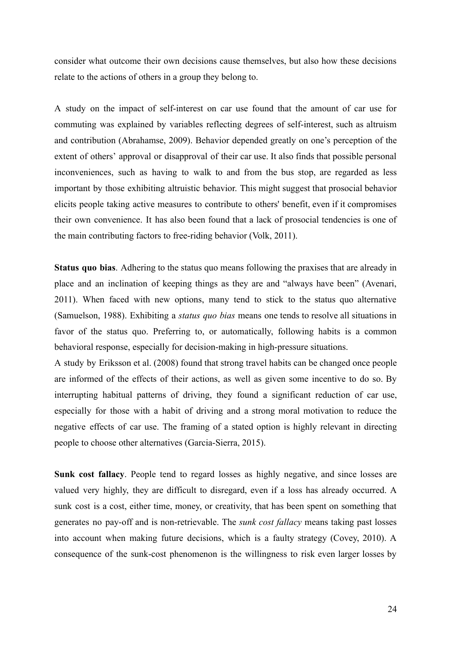consider what outcome their own decisions cause themselves, but also how these decisions relate to the actions of others in a group they belong to.

A study on the impact of self-interest on car use found that the amount of car use for commuting was explained by variables reflecting degrees of self-interest, such as altruism and contribution (Abrahamse, 2009). Behavior depended greatly on one's perception of the extent of others' approval or disapproval of their car use. It also finds that possible personal inconveniences, such as having to walk to and from the bus stop, are regarded as less important by those exhibiting altruistic behavior. This might suggest that prosocial behavior elicits people taking active measures to contribute to others' benefit, even if it compromises their own convenience. It has also been found that a lack of prosocial tendencies is one of the main contributing factors to free-riding behavior (Volk, 2011).

**Status quo bias**. Adhering to the status quo means following the praxises that are already in place and an inclination of keeping things as they are and "always have been" (Avenari, 2011). When faced with new options, many tend to stick to the status quo alternative (Samuelson, 1988). Exhibiting a *status quo bias* means one tends to resolve all situations in favor of the status quo. Preferring to, or automatically, following habits is a common behavioral response, especially for decision-making in high-pressure situations.

A study by Eriksson et al. (2008) found that strong travel habits can be changed once people are informed of the effects of their actions, as well as given some incentive to do so. By interrupting habitual patterns of driving, they found a significant reduction of car use, especially for those with a habit of driving and a strong moral motivation to reduce the negative effects of car use. The framing of a stated option is highly relevant in directing people to choose other alternatives (Garcia-Sierra, 2015).

**Sunk cost fallacy**. People tend to regard losses as highly negative, and since losses are valued very highly, they are difficult to disregard, even if a loss has already occurred. A sunk cost is a cost, either time, money, or creativity, that has been spent on something that generates no pay-off and is non-retrievable. The *sunk cost fallacy* means taking past losses into account when making future decisions, which is a faulty strategy (Covey, 2010). A consequence of the sunk-cost phenomenon is the willingness to risk even larger losses by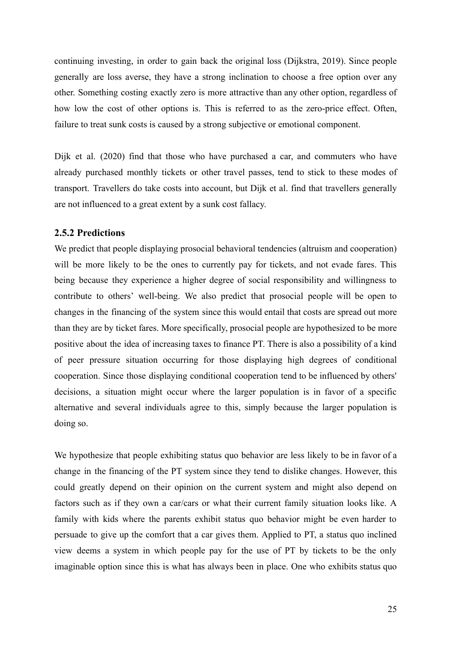continuing investing, in order to gain back the original loss (Dijkstra, 2019). Since people generally are loss averse, they have a strong inclination to choose a free option over any other. Something costing exactly zero is more attractive than any other option, regardless of how low the cost of other options is. This is referred to as the zero-price effect. Often, failure to treat sunk costs is caused by a strong subjective or emotional component.

Dijk et al. (2020) find that those who have purchased a car, and commuters who have already purchased monthly tickets or other travel passes, tend to stick to these modes of transport. Travellers do take costs into account, but Dijk et al. find that travellers generally are not influenced to a great extent by a sunk cost fallacy.

### <span id="page-24-0"></span>**2.5.2 Predictions**

We predict that people displaying prosocial behavioral tendencies (altruism and cooperation) will be more likely to be the ones to currently pay for tickets, and not evade fares. This being because they experience a higher degree of social responsibility and willingness to contribute to others' well-being. We also predict that prosocial people will be open to changes in the financing of the system since this would entail that costs are spread out more than they are by ticket fares. More specifically, prosocial people are hypothesized to be more positive about the idea of increasing taxes to finance PT. There is also a possibility of a kind of peer pressure situation occurring for those displaying high degrees of conditional cooperation. Since those displaying conditional cooperation tend to be influenced by others' decisions, a situation might occur where the larger population is in favor of a specific alternative and several individuals agree to this, simply because the larger population is doing so.

We hypothesize that people exhibiting status quo behavior are less likely to be in favor of a change in the financing of the PT system since they tend to dislike changes. However, this could greatly depend on their opinion on the current system and might also depend on factors such as if they own a car/cars or what their current family situation looks like. A family with kids where the parents exhibit status quo behavior might be even harder to persuade to give up the comfort that a car gives them. Applied to PT, a status quo inclined view deems a system in which people pay for the use of PT by tickets to be the only imaginable option since this is what has always been in place. One who exhibits status quo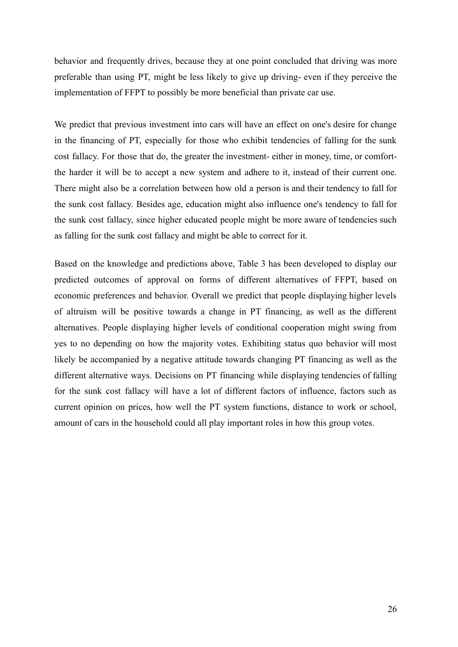behavior and frequently drives, because they at one point concluded that driving was more preferable than using PT, might be less likely to give up driving- even if they perceive the implementation of FFPT to possibly be more beneficial than private car use.

We predict that previous investment into cars will have an effect on one's desire for change in the financing of PT, especially for those who exhibit tendencies of falling for the sunk cost fallacy. For those that do, the greater the investment- either in money, time, or comfortthe harder it will be to accept a new system and adhere to it, instead of their current one. There might also be a correlation between how old a person is and their tendency to fall for the sunk cost fallacy. Besides age, education might also influence one's tendency to fall for the sunk cost fallacy, since higher educated people might be more aware of tendencies such as falling for the sunk cost fallacy and might be able to correct for it.

Based on the knowledge and predictions above, Table 3 has been developed to display our predicted outcomes of approval on forms of different alternatives of FFPT, based on economic preferences and behavior. Overall we predict that people displaying higher levels of altruism will be positive towards a change in PT financing, as well as the different alternatives. People displaying higher levels of conditional cooperation might swing from yes to no depending on how the majority votes. Exhibiting status quo behavior will most likely be accompanied by a negative attitude towards changing PT financing as well as the different alternative ways. Decisions on PT financing while displaying tendencies of falling for the sunk cost fallacy will have a lot of different factors of influence, factors such as current opinion on prices, how well the PT system functions, distance to work or school, amount of cars in the household could all play important roles in how this group votes.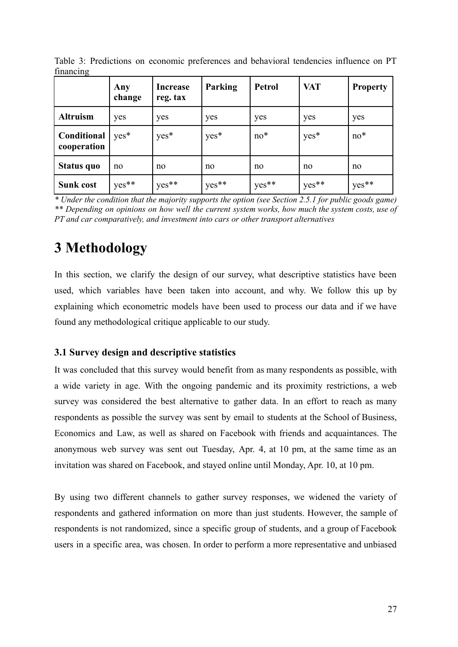| ---                        | Any<br>change | <b>Increase</b><br>reg. tax | Parking            | <b>Petrol</b> | <b>VAT</b> | <b>Property</b>                |
|----------------------------|---------------|-----------------------------|--------------------|---------------|------------|--------------------------------|
| <b>Altruism</b>            | yes           | yes                         | yes                | yes           | yes        | yes                            |
| Conditional<br>cooperation | $yes*$        | yes*                        | yes*               | $no*$         | yes*       | $no*$                          |
| Status quo                 | no            | no                          | no                 | no            | no         | no                             |
| <b>Sunk cost</b>           | yes**         | yes**                       | $1 \text{ yes}$ ** | yes**         | yes**      | <sup>1</sup> yes <sup>**</sup> |

Table 3: Predictions on economic preferences and behavioral tendencies influence on PT financing

*\* Under the condition that the majority supports the option (see Section 2.5.1 for public goods game) \*\* Depending on opinions on how well the current system works, how much the system costs, use of PT and car comparatively, and investment into cars or other transport alternatives*

# <span id="page-26-0"></span>**3 Methodology**

In this section, we clarify the design of our survey, what descriptive statistics have been used, which variables have been taken into account, and why. We follow this up by explaining which econometric models have been used to process our data and if we have found any methodological critique applicable to our study.

### <span id="page-26-1"></span>**3.1 Survey design and descriptive statistics**

It was concluded that this survey would benefit from as many respondents as possible, with a wide variety in age. With the ongoing pandemic and its proximity restrictions, a web survey was considered the best alternative to gather data. In an effort to reach as many respondents as possible the survey was sent by email to students at the School of Business, Economics and Law, as well as shared on Facebook with friends and acquaintances. The anonymous web survey was sent out Tuesday, Apr. 4, at 10 pm, at the same time as an invitation was shared on Facebook, and stayed online until Monday, Apr. 10, at 10 pm.

By using two different channels to gather survey responses, we widened the variety of respondents and gathered information on more than just students. However, the sample of respondents is not randomized, since a specific group of students, and a group of Facebook users in a specific area, was chosen. In order to perform a more representative and unbiased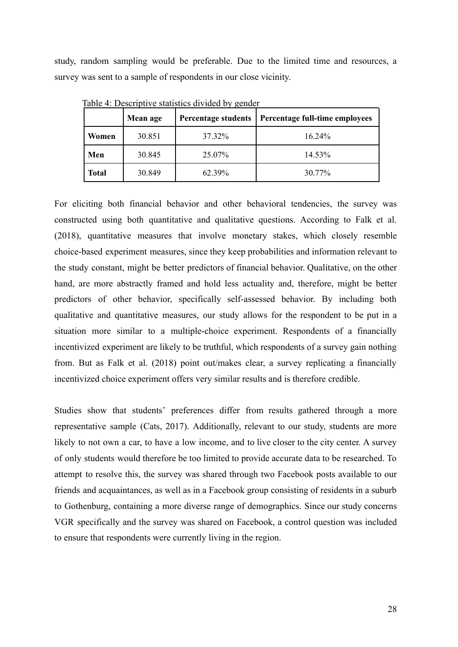study, random sampling would be preferable. Due to the limited time and resources, a survey was sent to a sample of respondents in our close vicinity.

|       | <b>Mean age</b> | <b>Percentage students</b> | Percentage full-time employees |
|-------|-----------------|----------------------------|--------------------------------|
| Women | 30.851          | 37.32%                     | $16.24\%$                      |
| Men   | 30.845          | 25.07%                     | 14.53%                         |
| Total | 30.849          | 62.39%                     | 30.77%                         |

Table 4: Descriptive statistics divided by gender

For eliciting both financial behavior and other behavioral tendencies, the survey was constructed using both quantitative and qualitative questions. According to Falk et al. (2018), quantitative measures that involve monetary stakes, which closely resemble choice-based experiment measures, since they keep probabilities and information relevant to the study constant, might be better predictors of financial behavior. Qualitative, on the other hand, are more abstractly framed and hold less actuality and, therefore, might be better predictors of other behavior, specifically self-assessed behavior. By including both qualitative and quantitative measures, our study allows for the respondent to be put in a situation more similar to a multiple-choice experiment. Respondents of a financially incentivized experiment are likely to be truthful, which respondents of a survey gain nothing from. But as Falk et al. (2018) point out/makes clear, a survey replicating a financially incentivized choice experiment offers very similar results and is therefore credible.

Studies show that students' preferences differ from results gathered through a more representative sample (Cats, 2017). Additionally, relevant to our study, students are more likely to not own a car, to have a low income, and to live closer to the city center. A survey of only students would therefore be too limited to provide accurate data to be researched. To attempt to resolve this, the survey was shared through two Facebook posts available to our friends and acquaintances, as well as in a Facebook group consisting of residents in a suburb to Gothenburg, containing a more diverse range of demographics. Since our study concerns VGR specifically and the survey was shared on Facebook, a control question was included to ensure that respondents were currently living in the region.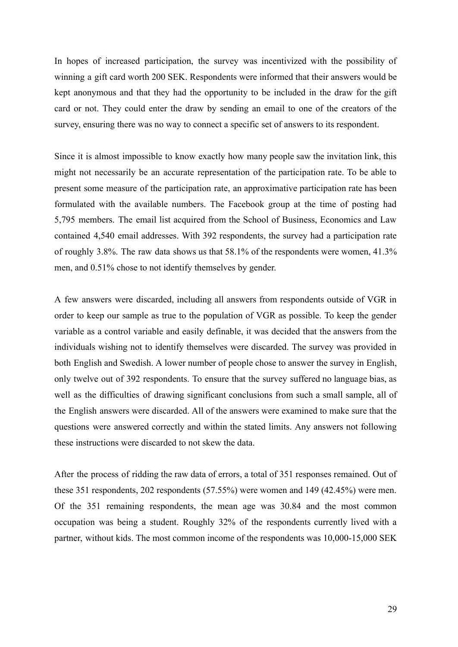In hopes of increased participation, the survey was incentivized with the possibility of winning a gift card worth 200 SEK. Respondents were informed that their answers would be kept anonymous and that they had the opportunity to be included in the draw for the gift card or not. They could enter the draw by sending an email to one of the creators of the survey, ensuring there was no way to connect a specific set of answers to its respondent.

Since it is almost impossible to know exactly how many people saw the invitation link, this might not necessarily be an accurate representation of the participation rate. To be able to present some measure of the participation rate, an approximative participation rate has been formulated with the available numbers. The Facebook group at the time of posting had 5,795 members. The email list acquired from the School of Business, Economics and Law contained 4,540 email addresses. With 392 respondents, the survey had a participation rate of roughly 3.8%. The raw data shows us that 58.1% of the respondents were women, 41.3% men, and 0.51% chose to not identify themselves by gender.

A few answers were discarded, including all answers from respondents outside of VGR in order to keep our sample as true to the population of VGR as possible. To keep the gender variable as a control variable and easily definable, it was decided that the answers from the individuals wishing not to identify themselves were discarded. The survey was provided in both English and Swedish. A lower number of people chose to answer the survey in English, only twelve out of 392 respondents. To ensure that the survey suffered no language bias, as well as the difficulties of drawing significant conclusions from such a small sample, all of the English answers were discarded. All of the answers were examined to make sure that the questions were answered correctly and within the stated limits. Any answers not following these instructions were discarded to not skew the data.

After the process of ridding the raw data of errors, a total of 351 responses remained. Out of these 351 respondents, 202 respondents (57.55%) were women and 149 (42.45%) were men. Of the 351 remaining respondents, the mean age was 30.84 and the most common occupation was being a student. Roughly 32% of the respondents currently lived with a partner, without kids. The most common income of the respondents was 10,000-15,000 SEK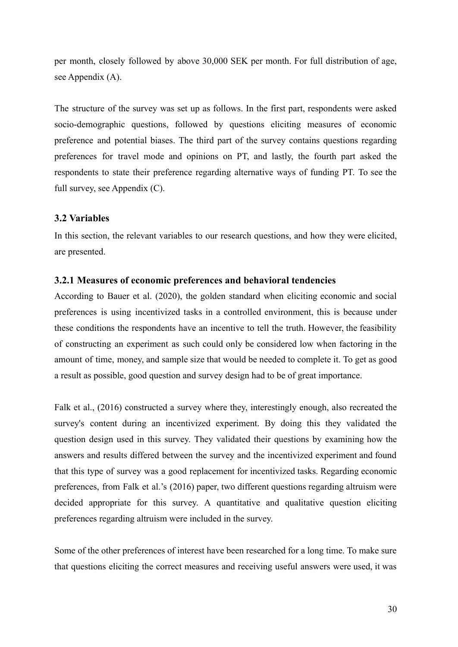per month, closely followed by above 30,000 SEK per month. For full distribution of age, see Appendix (A).

The structure of the survey was set up as follows. In the first part, respondents were asked socio-demographic questions, followed by questions eliciting measures of economic preference and potential biases. The third part of the survey contains questions regarding preferences for travel mode and opinions on PT, and lastly, the fourth part asked the respondents to state their preference regarding alternative ways of funding PT. To see the full survey, see Appendix (C).

### <span id="page-29-0"></span>**3.2 Variables**

In this section, the relevant variables to our research questions, and how they were elicited, are presented.

#### <span id="page-29-1"></span>**3.2.1 Measures of economic preferences and behavioral tendencies**

According to Bauer et al. (2020), the golden standard when eliciting economic and social preferences is using incentivized tasks in a controlled environment, this is because under these conditions the respondents have an incentive to tell the truth. However, the feasibility of constructing an experiment as such could only be considered low when factoring in the amount of time, money, and sample size that would be needed to complete it. To get as good a result as possible, good question and survey design had to be of great importance.

Falk et al., (2016) constructed a survey where they, interestingly enough, also recreated the survey's content during an incentivized experiment. By doing this they validated the question design used in this survey. They validated their questions by examining how the answers and results differed between the survey and the incentivized experiment and found that this type of survey was a good replacement for incentivized tasks. Regarding economic preferences, from Falk et al.'s (2016) paper, two different questions regarding altruism were decided appropriate for this survey. A quantitative and qualitative question eliciting preferences regarding altruism were included in the survey.

Some of the other preferences of interest have been researched for a long time. To make sure that questions eliciting the correct measures and receiving useful answers were used, it was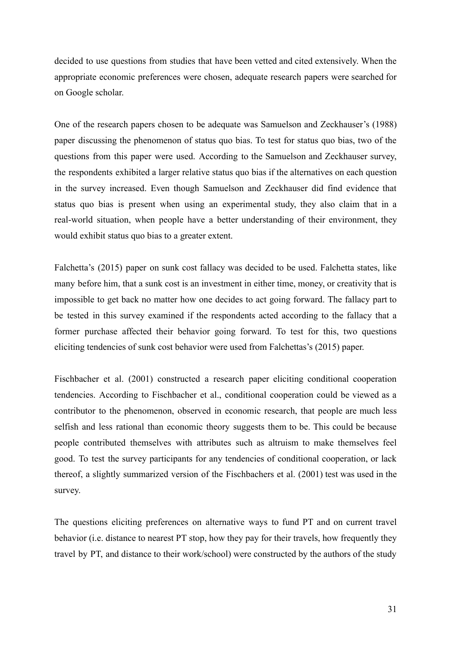decided to use questions from studies that have been vetted and cited extensively. When the appropriate economic preferences were chosen, adequate research papers were searched for on Google scholar.

One of the research papers chosen to be adequate was Samuelson and Zeckhauser's (1988) paper discussing the phenomenon of status quo bias. To test for status quo bias, two of the questions from this paper were used. According to the Samuelson and Zeckhauser survey, the respondents exhibited a larger relative status quo bias if the alternatives on each question in the survey increased. Even though Samuelson and Zeckhauser did find evidence that status quo bias is present when using an experimental study, they also claim that in a real-world situation, when people have a better understanding of their environment, they would exhibit status quo bias to a greater extent.

Falchetta's (2015) paper on sunk cost fallacy was decided to be used. Falchetta states, like many before him, that a sunk cost is an investment in either time, money, or creativity that is impossible to get back no matter how one decides to act going forward. The fallacy part to be tested in this survey examined if the respondents acted according to the fallacy that a former purchase affected their behavior going forward. To test for this, two questions eliciting tendencies of sunk cost behavior were used from Falchettas's (2015) paper.

Fischbacher et al. (2001) constructed a research paper eliciting conditional cooperation tendencies. According to Fischbacher et al., conditional cooperation could be viewed as a contributor to the phenomenon, observed in economic research, that people are much less selfish and less rational than economic theory suggests them to be. This could be because people contributed themselves with attributes such as altruism to make themselves feel good. To test the survey participants for any tendencies of conditional cooperation, or lack thereof, a slightly summarized version of the Fischbachers et al. (2001) test was used in the survey.

The questions eliciting preferences on alternative ways to fund PT and on current travel behavior (i.e. distance to nearest PT stop, how they pay for their travels, how frequently they travel by PT, and distance to their work/school) were constructed by the authors of the study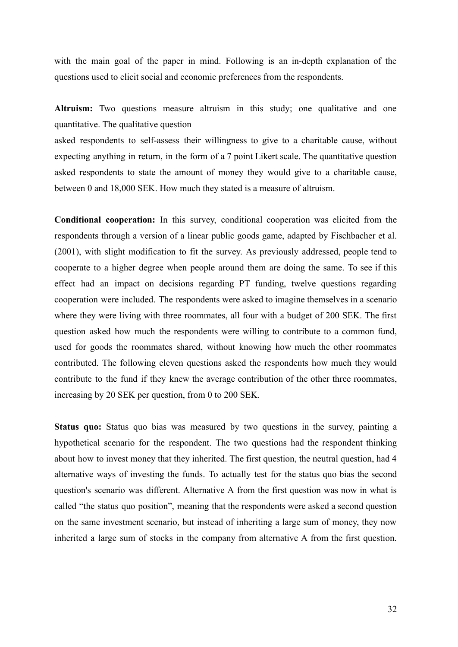with the main goal of the paper in mind. Following is an in-depth explanation of the questions used to elicit social and economic preferences from the respondents.

**Altruism:** Two questions measure altruism in this study; one qualitative and one quantitative. The qualitative question

asked respondents to self-assess their willingness to give to a charitable cause, without expecting anything in return, in the form of a 7 point Likert scale. The quantitative question asked respondents to state the amount of money they would give to a charitable cause, between 0 and 18,000 SEK. How much they stated is a measure of altruism.

**Conditional cooperation:** In this survey, conditional cooperation was elicited from the respondents through a version of a linear public goods game, adapted by Fischbacher et al. (2001), with slight modification to fit the survey. As previously addressed, people tend to cooperate to a higher degree when people around them are doing the same. To see if this effect had an impact on decisions regarding PT funding, twelve questions regarding cooperation were included. The respondents were asked to imagine themselves in a scenario where they were living with three roommates, all four with a budget of 200 SEK. The first question asked how much the respondents were willing to contribute to a common fund, used for goods the roommates shared, without knowing how much the other roommates contributed. The following eleven questions asked the respondents how much they would contribute to the fund if they knew the average contribution of the other three roommates, increasing by 20 SEK per question, from 0 to 200 SEK.

**Status quo:** Status quo bias was measured by two questions in the survey, painting a hypothetical scenario for the respondent. The two questions had the respondent thinking about how to invest money that they inherited. The first question, the neutral question, had 4 alternative ways of investing the funds. To actually test for the status quo bias the second question's scenario was different. Alternative A from the first question was now in what is called "the status quo position", meaning that the respondents were asked a second question on the same investment scenario, but instead of inheriting a large sum of money, they now inherited a large sum of stocks in the company from alternative A from the first question.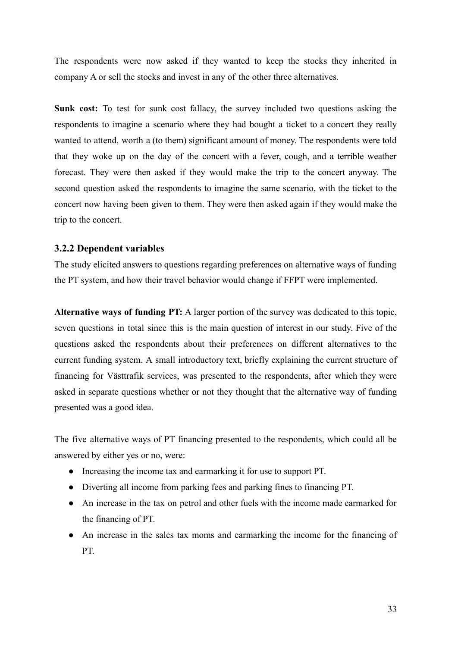The respondents were now asked if they wanted to keep the stocks they inherited in company A or sell the stocks and invest in any of the other three alternatives.

**Sunk cost:** To test for sunk cost fallacy, the survey included two questions asking the respondents to imagine a scenario where they had bought a ticket to a concert they really wanted to attend, worth a (to them) significant amount of money. The respondents were told that they woke up on the day of the concert with a fever, cough, and a terrible weather forecast. They were then asked if they would make the trip to the concert anyway. The second question asked the respondents to imagine the same scenario, with the ticket to the concert now having been given to them. They were then asked again if they would make the trip to the concert.

### <span id="page-32-0"></span>**3.2.2 Dependent variables**

The study elicited answers to questions regarding preferences on alternative ways of funding the PT system, and how their travel behavior would change if FFPT were implemented.

**Alternative ways of funding PT:** A larger portion of the survey was dedicated to this topic, seven questions in total since this is the main question of interest in our study. Five of the questions asked the respondents about their preferences on different alternatives to the current funding system. A small introductory text, briefly explaining the current structure of financing for Västtrafik services, was presented to the respondents, after which they were asked in separate questions whether or not they thought that the alternative way of funding presented was a good idea.

The five alternative ways of PT financing presented to the respondents, which could all be answered by either yes or no, were:

- Increasing the income tax and earmarking it for use to support PT.
- Diverting all income from parking fees and parking fines to financing PT.
- An increase in the tax on petrol and other fuels with the income made earmarked for the financing of PT.
- An increase in the sales tax moms and earmarking the income for the financing of PT.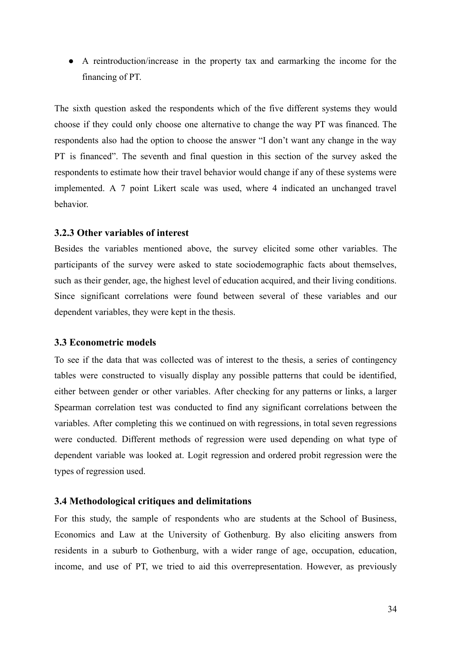● A reintroduction/increase in the property tax and earmarking the income for the financing of PT.

The sixth question asked the respondents which of the five different systems they would choose if they could only choose one alternative to change the way PT was financed. The respondents also had the option to choose the answer "I don't want any change in the way PT is financed". The seventh and final question in this section of the survey asked the respondents to estimate how their travel behavior would change if any of these systems were implemented. A 7 point Likert scale was used, where 4 indicated an unchanged travel behavior.

### <span id="page-33-0"></span>**3.2.3 Other variables of interest**

Besides the variables mentioned above, the survey elicited some other variables. The participants of the survey were asked to state sociodemographic facts about themselves, such as their gender, age, the highest level of education acquired, and their living conditions. Since significant correlations were found between several of these variables and our dependent variables, they were kept in the thesis.

### <span id="page-33-1"></span>**3.3 Econometric models**

To see if the data that was collected was of interest to the thesis, a series of contingency tables were constructed to visually display any possible patterns that could be identified, either between gender or other variables. After checking for any patterns or links, a larger Spearman correlation test was conducted to find any significant correlations between the variables. After completing this we continued on with regressions, in total seven regressions were conducted. Different methods of regression were used depending on what type of dependent variable was looked at. Logit regression and ordered probit regression were the types of regression used.

### <span id="page-33-2"></span>**3.4 Methodological critiques and delimitations**

For this study, the sample of respondents who are students at the School of Business, Economics and Law at the University of Gothenburg. By also eliciting answers from residents in a suburb to Gothenburg, with a wider range of age, occupation, education, income, and use of PT, we tried to aid this overrepresentation. However, as previously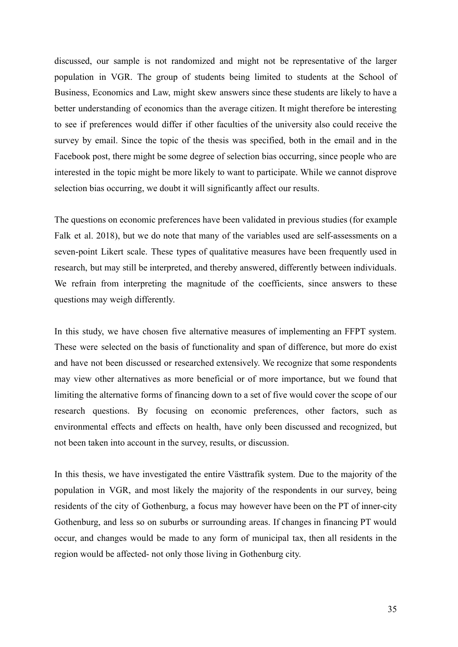discussed, our sample is not randomized and might not be representative of the larger population in VGR. The group of students being limited to students at the School of Business, Economics and Law, might skew answers since these students are likely to have a better understanding of economics than the average citizen. It might therefore be interesting to see if preferences would differ if other faculties of the university also could receive the survey by email. Since the topic of the thesis was specified, both in the email and in the Facebook post, there might be some degree of selection bias occurring, since people who are interested in the topic might be more likely to want to participate. While we cannot disprove selection bias occurring, we doubt it will significantly affect our results.

The questions on economic preferences have been validated in previous studies (for example Falk et al. 2018), but we do note that many of the variables used are self-assessments on a seven-point Likert scale. These types of qualitative measures have been frequently used in research, but may still be interpreted, and thereby answered, differently between individuals. We refrain from interpreting the magnitude of the coefficients, since answers to these questions may weigh differently.

In this study, we have chosen five alternative measures of implementing an FFPT system. These were selected on the basis of functionality and span of difference, but more do exist and have not been discussed or researched extensively. We recognize that some respondents may view other alternatives as more beneficial or of more importance, but we found that limiting the alternative forms of financing down to a set of five would cover the scope of our research questions. By focusing on economic preferences, other factors, such as environmental effects and effects on health, have only been discussed and recognized, but not been taken into account in the survey, results, or discussion.

In this thesis, we have investigated the entire Västtrafik system. Due to the majority of the population in VGR, and most likely the majority of the respondents in our survey, being residents of the city of Gothenburg, a focus may however have been on the PT of inner-city Gothenburg, and less so on suburbs or surrounding areas. If changes in financing PT would occur, and changes would be made to any form of municipal tax, then all residents in the region would be affected- not only those living in Gothenburg city.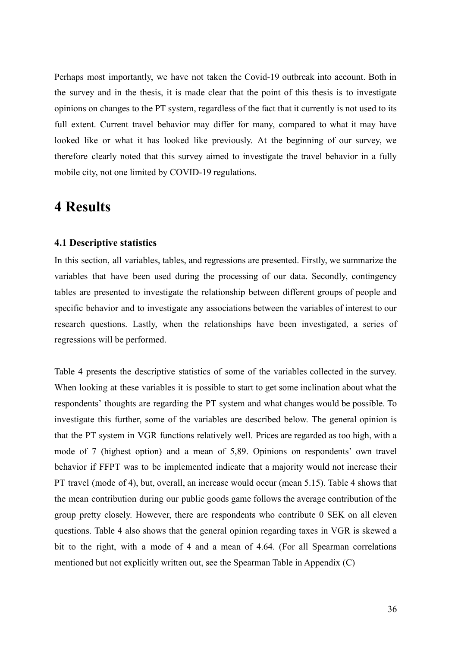Perhaps most importantly, we have not taken the Covid-19 outbreak into account. Both in the survey and in the thesis, it is made clear that the point of this thesis is to investigate opinions on changes to the PT system, regardless of the fact that it currently is not used to its full extent. Current travel behavior may differ for many, compared to what it may have looked like or what it has looked like previously. At the beginning of our survey, we therefore clearly noted that this survey aimed to investigate the travel behavior in a fully mobile city, not one limited by COVID-19 regulations.

### <span id="page-35-0"></span>**4 Results**

### <span id="page-35-1"></span>**4.1 Descriptive statistics**

In this section, all variables, tables, and regressions are presented. Firstly, we summarize the variables that have been used during the processing of our data. Secondly, contingency tables are presented to investigate the relationship between different groups of people and specific behavior and to investigate any associations between the variables of interest to our research questions. Lastly, when the relationships have been investigated, a series of regressions will be performed.

Table 4 presents the descriptive statistics of some of the variables collected in the survey. When looking at these variables it is possible to start to get some inclination about what the respondents' thoughts are regarding the PT system and what changes would be possible. To investigate this further, some of the variables are described below. The general opinion is that the PT system in VGR functions relatively well. Prices are regarded as too high, with a mode of 7 (highest option) and a mean of 5,89. Opinions on respondents' own travel behavior if FFPT was to be implemented indicate that a majority would not increase their PT travel (mode of 4), but, overall, an increase would occur (mean 5.15). Table 4 shows that the mean contribution during our public goods game follows the average contribution of the group pretty closely. However, there are respondents who contribute 0 SEK on all eleven questions. Table 4 also shows that the general opinion regarding taxes in VGR is skewed a bit to the right, with a mode of 4 and a mean of 4.64. (For all Spearman correlations mentioned but not explicitly written out, see the Spearman Table in Appendix (C)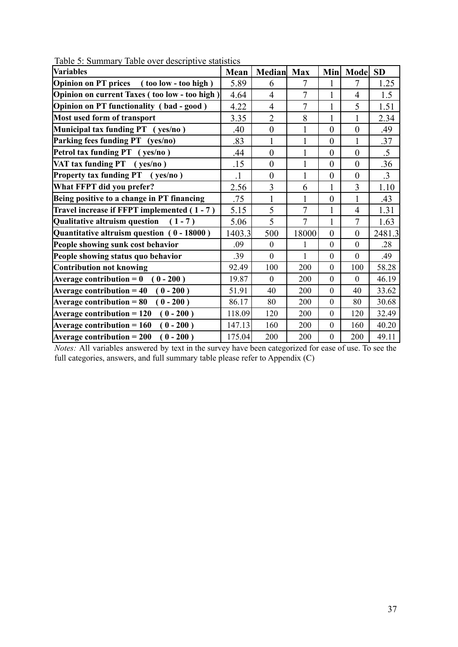| Table 5. Summary Table Over descriptive statistics  |         |                |                |                  |                  |           |
|-----------------------------------------------------|---------|----------------|----------------|------------------|------------------|-----------|
| Variables                                           | Mean    | <b>Median</b>  | <b>Max</b>     | <b>Min</b>       | Mode             | <b>SD</b> |
| <b>Opinion on PT prices</b><br>(too low - too high) | 5.89    | 6              |                |                  | 7                | 1.25      |
| Opinion on current Taxes (too low - too high)       | 4.64    | $\overline{4}$ | 7              | 1                | $\overline{4}$   | 1.5       |
| <b>Opinion on PT functionality (bad-good)</b>       | 4.22    | 4              | 7              | 1                | 5                | 1.51      |
| Most used form of transport                         | 3.35    | $\overline{2}$ | 8              | 1                | 1                | 2.34      |
| Municipal tax funding PT (yes/no)                   | .40     | $\overline{0}$ | 1              | $\overline{0}$   | $\theta$         | .49       |
| Parking fees funding PT (yes/no)                    | .83     |                | 1              | $\overline{0}$   | 1                | .37       |
| Petrol tax funding PT (yes/no)                      | .44     | $\overline{0}$ | 1              | $\boldsymbol{0}$ | $\overline{0}$   | $.5\,$    |
| VAT tax funding PT (yes/no)                         | .15     | $\overline{0}$ | 1              | $\theta$         | $\overline{0}$   | .36       |
| Property tax funding PT (yes/no)                    | $\cdot$ | $\overline{0}$ | 1              | $\boldsymbol{0}$ | $\overline{0}$   | $\cdot$ 3 |
| What FFPT did you prefer?                           | 2.56    | 3              | 6              | 1                | 3                | 1.10      |
| Being positive to a change in PT financing          | .75     |                | 1              | $\boldsymbol{0}$ | 1                | .43       |
| Travel increase if FFPT implemented (1-7)           | 5.15    | 5              | 7              | 1                | $\overline{4}$   | 1.31      |
| <b>Qualitative altruism question</b><br>$(1 - 7)$   | 5.06    | 5              | $\overline{7}$ | $\mathbf{1}$     | $\overline{7}$   | 1.63      |
| Quantitative altruism question (0 - 18000)          | 1403.3  | 500            | 18000          | $\overline{0}$   | $\overline{0}$   | 2481.3    |
| People showing sunk cost behavior                   | .09     | $\mathbf{0}$   | 1              | $\mathbf{0}$     | $\mathbf{0}$     | .28       |
| People showing status quo behavior                  | .39     | $\mathbf{0}$   | 1              | $\mathbf{0}$     | $\boldsymbol{0}$ | .49       |
| <b>Contribution not knowing</b>                     | 92.49   | 100            | 200            | $\theta$         | 100              | 58.28     |
| Average contribution $= 0$<br>$(0 - 200)$           | 19.87   | $\mathbf{0}$   | 200            | $\theta$         | $\overline{0}$   | 46.19     |
| Average contribution $= 40$<br>$(0 - 200)$          | 51.91   | 40             | 200            | $\mathbf{0}$     | 40               | 33.62     |
| Average contribution $= 80$<br>$(0 - 200)$          | 86.17   | 80             | 200            | $\boldsymbol{0}$ | 80               | 30.68     |
| $(0 - 200)$<br>Average contribution $= 120$         | 118.09  | 120            | 200            | $\boldsymbol{0}$ | 120              | 32.49     |
| Average contribution $= 160$<br>$(0 - 200)$         | 147.13  | 160            | 200            | $\boldsymbol{0}$ | 160              | 40.20     |

Table 5: Summary Table over descriptive statistics

*Notes:* All variables answered by text in the survey have been categorized for ease of use. To see the full categories, answers, and full summary table please refer to Appendix (C)

**Average contribution = 200 ( 0 - 200 )** 175.04 200 200 0 200 49.11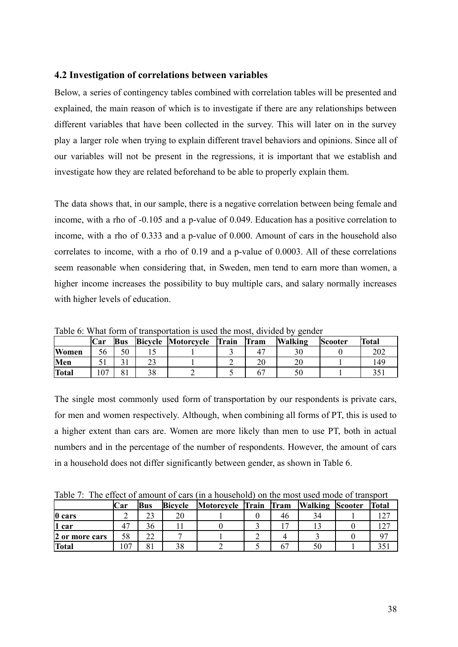### <span id="page-37-0"></span>**4.2 Investigation of correlations between variables**

Below, a series of contingency tables combined with correlation tables will be presented and explained, the main reason of which is to investigate if there are any relationships between different variables that have been collected in the survey. This will later on in the survey play a larger role when trying to explain different travel behaviors and opinions. Since all of our variables will not be present in the regressions, it is important that we establish and investigate how they are related beforehand to be able to properly explain them.

The data shows that, in our sample, there is a negative correlation between being female and income, with a rho of -0.105 and a p-value of 0.049. Education has a positive correlation to income, with a rho of 0.333 and a p-value of 0.000. Amount of cars in the household also correlates to income, with a rho of 0.19 and a p-value of 0.0003. All of these correlations seem reasonable when considering that, in Sweden, men tend to earn more than women, a higher income increases the possibility to buy multiple cars, and salary normally increases with higher levels of education.

|              | Car      | <b>Bus</b> | <b>Bicycle Motorcycle</b> | Train | Tram | <b>Walking</b> | <b>Scooter</b> | Total |
|--------------|----------|------------|---------------------------|-------|------|----------------|----------------|-------|
| <b>Women</b> | 56       | 50         |                           |       |      |                |                | 202   |
| Men          |          |            |                           |       |      |                |                | 149   |
| <b>Total</b> | $\Omega$ |            |                           |       |      |                |                |       |

Table 6: What form of transportation is used the most, divided by gender

The single most commonly used form of transportation by our respondents is private cars, for men and women respectively. Although, when combining all forms of PT, this is used to a higher extent than cars are. Women are more likely than men to use PT, both in actual numbers and in the percentage of the number of respondents. However, the amount of cars in a household does not differ significantly between gender, as shown in Table 6.

Table 7: The effect of amount of cars (in a household) on the most used mode of transport

|                | Car | Bus                  | <b>Bicycle</b> | Motorcycle Train |  | Tram | <b>Walking Scooter</b> |  | <b>Total</b> |
|----------------|-----|----------------------|----------------|------------------|--|------|------------------------|--|--------------|
| $\vert$ 0 cars |     | າາ<br>ر ے            | 20             |                  |  | 46   | 34                     |  |              |
| car            |     | 36                   |                |                  |  |      |                        |  |              |
| 2 or more cars | 58  | ົາ<br>∠∠             |                |                  |  |      |                        |  |              |
| <b>Total</b>   | 107 | O <sub>1</sub><br>ΟI |                |                  |  | O.   |                        |  |              |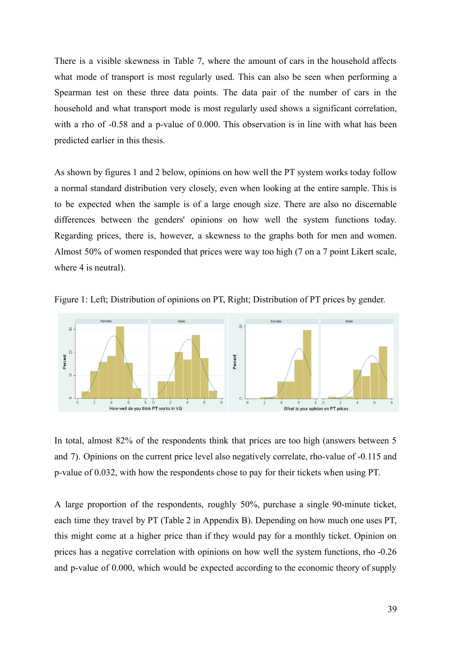There is a visible skewness in Table 7, where the amount of cars in the household affects what mode of transport is most regularly used. This can also be seen when performing a Spearman test on these three data points. The data pair of the number of cars in the household and what transport mode is most regularly used shows a significant correlation, with a rho of -0.58 and a p-value of 0.000. This observation is in line with what has been predicted earlier in this thesis.

As shown by figures 1 and 2 below, opinions on how well the PT system works today follow a normal standard distribution very closely, even when looking at the entire sample. This is to be expected when the sample is of a large enough size. There are also no discernable differences between the genders' opinions on how well the system functions today. Regarding prices, there is, however, a skewness to the graphs both for men and women. Almost 50% of women responded that prices were way too high (7 on a 7 point Likert scale, where 4 is neutral).





In total, almost 82% of the respondents think that prices are too high (answers between 5 and 7). Opinions on the current price level also negatively correlate, rho-value of -0.115 and p-value of 0.032, with how the respondents chose to pay for their tickets when using PT.

A large proportion of the respondents, roughly 50%, purchase a single 90-minute ticket, each time they travel by PT (Table 2 in Appendix B). Depending on how much one uses PT, this might come at a higher price than if they would pay for a monthly ticket. Opinion on prices has a negative correlation with opinions on how well the system functions, rho -0.26 and p-value of 0.000, which would be expected according to the economic theory of supply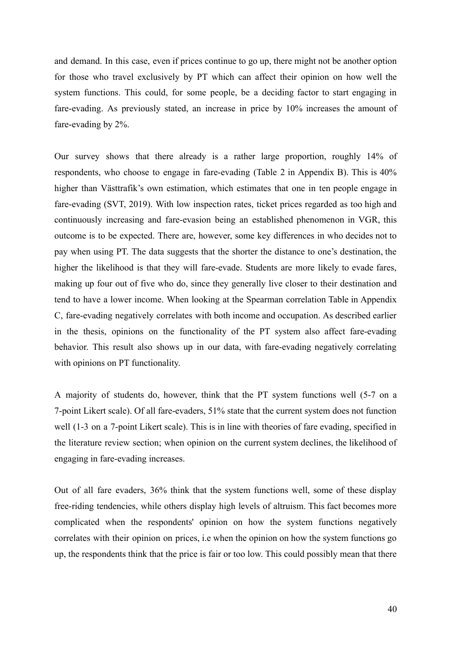and demand. In this case, even if prices continue to go up, there might not be another option for those who travel exclusively by PT which can affect their opinion on how well the system functions. This could, for some people, be a deciding factor to start engaging in fare-evading. As previously stated, an increase in price by 10% increases the amount of fare-evading by 2%.

Our survey shows that there already is a rather large proportion, roughly 14% of respondents, who choose to engage in fare-evading (Table 2 in Appendix B). This is 40% higher than Västtrafik's own estimation, which estimates that one in ten people engage in fare-evading (SVT, 2019). With low inspection rates, ticket prices regarded as too high and continuously increasing and fare-evasion being an established phenomenon in VGR, this outcome is to be expected. There are, however, some key differences in who decides not to pay when using PT. The data suggests that the shorter the distance to one's destination, the higher the likelihood is that they will fare-evade. Students are more likely to evade fares, making up four out of five who do, since they generally live closer to their destination and tend to have a lower income. When looking at the Spearman correlation Table in Appendix C, fare-evading negatively correlates with both income and occupation. As described earlier in the thesis, opinions on the functionality of the PT system also affect fare-evading behavior. This result also shows up in our data, with fare-evading negatively correlating with opinions on PT functionality.

A majority of students do, however, think that the PT system functions well (5-7 on a 7-point Likert scale). Of all fare-evaders, 51% state that the current system does not function well (1-3 on a 7-point Likert scale). This is in line with theories of fare evading, specified in the literature review section; when opinion on the current system declines, the likelihood of engaging in fare-evading increases.

Out of all fare evaders, 36% think that the system functions well, some of these display free-riding tendencies, while others display high levels of altruism. This fact becomes more complicated when the respondents' opinion on how the system functions negatively correlates with their opinion on prices, i.e when the opinion on how the system functions go up, the respondents think that the price is fair or too low. This could possibly mean that there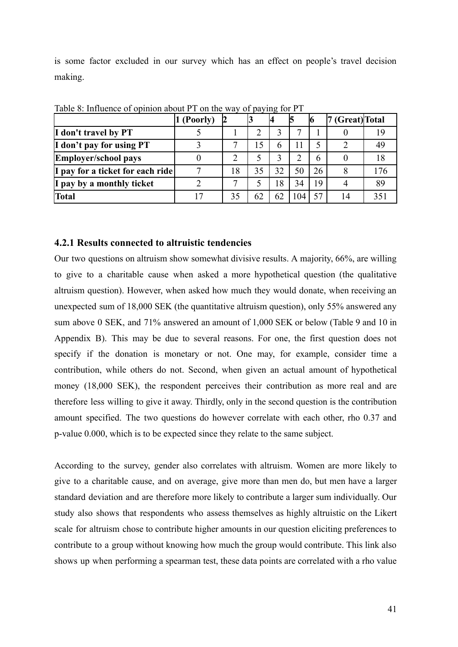is some factor excluded in our survey which has an effect on people's travel decision making.

|                                  | (Poorly) |    |    | 14 |    |    | (Great) Total |    |
|----------------------------------|----------|----|----|----|----|----|---------------|----|
| I don't travel by PT             |          |    |    |    | ⇁  |    |               |    |
| I don't pay for using PT         |          |    |    |    |    |    |               |    |
| Employer/school pays             |          | ◠  |    |    | າ  | 6  |               |    |
| I pay for a ticket for each ride |          | 18 | 35 | 32 | 50 | 26 |               | 76 |
| I pay by a monthly ticket        |          |    |    | 18 | 34 | 19 |               | 89 |
| <b>Total</b>                     |          | 35 | 62 |    | 04 | 57 | 14            |    |

Table 8: Influence of opinion about PT on the way of paying for PT

### <span id="page-40-0"></span>**4.2.1 Results connected to altruistic tendencies**

Our two questions on altruism show somewhat divisive results. A majority, 66%, are willing to give to a charitable cause when asked a more hypothetical question (the qualitative altruism question). However, when asked how much they would donate, when receiving an unexpected sum of 18,000 SEK (the quantitative altruism question), only 55% answered any sum above 0 SEK, and 71% answered an amount of 1,000 SEK or below (Table 9 and 10 in Appendix B). This may be due to several reasons. For one, the first question does not specify if the donation is monetary or not. One may, for example, consider time a contribution, while others do not. Second, when given an actual amount of hypothetical money (18,000 SEK), the respondent perceives their contribution as more real and are therefore less willing to give it away. Thirdly, only in the second question is the contribution amount specified. The two questions do however correlate with each other, rho 0.37 and p-value 0.000, which is to be expected since they relate to the same subject.

According to the survey, gender also correlates with altruism. Women are more likely to give to a charitable cause, and on average, give more than men do, but men have a larger standard deviation and are therefore more likely to contribute a larger sum individually. Our study also shows that respondents who assess themselves as highly altruistic on the Likert scale for altruism chose to contribute higher amounts in our question eliciting preferences to contribute to a group without knowing how much the group would contribute. This link also shows up when performing a spearman test, these data points are correlated with a rho value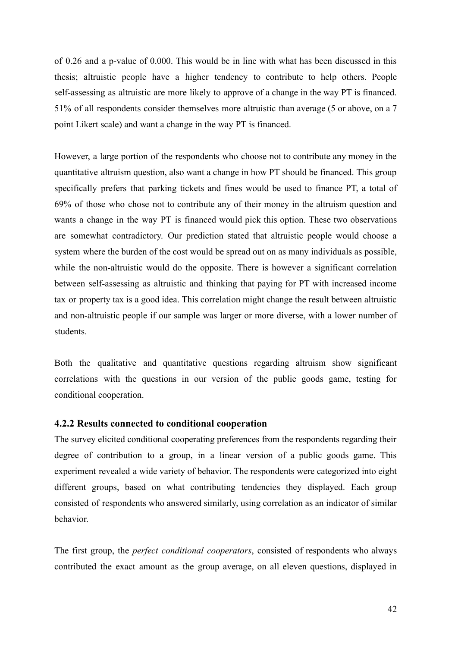of 0.26 and a p-value of 0.000. This would be in line with what has been discussed in this thesis; altruistic people have a higher tendency to contribute to help others. People self-assessing as altruistic are more likely to approve of a change in the way PT is financed. 51% of all respondents consider themselves more altruistic than average (5 or above, on a 7 point Likert scale) and want a change in the way PT is financed.

However, a large portion of the respondents who choose not to contribute any money in the quantitative altruism question, also want a change in how PT should be financed. This group specifically prefers that parking tickets and fines would be used to finance PT, a total of 69% of those who chose not to contribute any of their money in the altruism question and wants a change in the way PT is financed would pick this option. These two observations are somewhat contradictory. Our prediction stated that altruistic people would choose a system where the burden of the cost would be spread out on as many individuals as possible, while the non-altruistic would do the opposite. There is however a significant correlation between self-assessing as altruistic and thinking that paying for PT with increased income tax or property tax is a good idea. This correlation might change the result between altruistic and non-altruistic people if our sample was larger or more diverse, with a lower number of students.

Both the qualitative and quantitative questions regarding altruism show significant correlations with the questions in our version of the public goods game, testing for conditional cooperation.

#### <span id="page-41-0"></span>**4.2.2 Results connected to conditional cooperation**

The survey elicited conditional cooperating preferences from the respondents regarding their degree of contribution to a group, in a linear version of a public goods game. This experiment revealed a wide variety of behavior. The respondents were categorized into eight different groups, based on what contributing tendencies they displayed. Each group consisted of respondents who answered similarly, using correlation as an indicator of similar behavior.

The first group, the *perfect conditional cooperators*, consisted of respondents who always contributed the exact amount as the group average, on all eleven questions, displayed in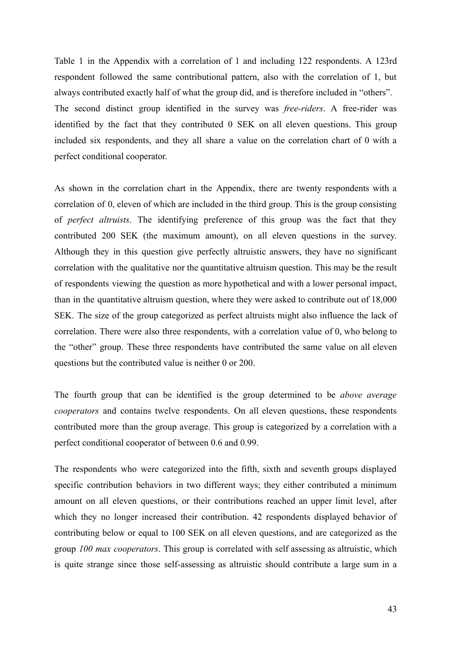Table 1 in the Appendix with a correlation of 1 and including 122 respondents. A 123rd respondent followed the same contributional pattern, also with the correlation of 1, but always contributed exactly half of what the group did, and is therefore included in "others". The second distinct group identified in the survey was *free-riders*. A free-rider was identified by the fact that they contributed 0 SEK on all eleven questions. This group included six respondents, and they all share a value on the correlation chart of 0 with a perfect conditional cooperator.

As shown in the correlation chart in the Appendix, there are twenty respondents with a correlation of 0, eleven of which are included in the third group. This is the group consisting of *perfect altruists*. The identifying preference of this group was the fact that they contributed 200 SEK (the maximum amount), on all eleven questions in the survey. Although they in this question give perfectly altruistic answers, they have no significant correlation with the qualitative nor the quantitative altruism question. This may be the result of respondents viewing the question as more hypothetical and with a lower personal impact, than in the quantitative altruism question, where they were asked to contribute out of 18,000 SEK. The size of the group categorized as perfect altruists might also influence the lack of correlation. There were also three respondents, with a correlation value of 0, who belong to the "other" group. These three respondents have contributed the same value on all eleven questions but the contributed value is neither 0 or 200.

The fourth group that can be identified is the group determined to be *above average cooperators* and contains twelve respondents. On all eleven questions, these respondents contributed more than the group average. This group is categorized by a correlation with a perfect conditional cooperator of between 0.6 and 0.99.

The respondents who were categorized into the fifth, sixth and seventh groups displayed specific contribution behaviors in two different ways; they either contributed a minimum amount on all eleven questions, or their contributions reached an upper limit level, after which they no longer increased their contribution. 42 respondents displayed behavior of contributing below or equal to 100 SEK on all eleven questions, and are categorized as the group *100 max cooperators*. This group is correlated with self assessing as altruistic, which is quite strange since those self-assessing as altruistic should contribute a large sum in a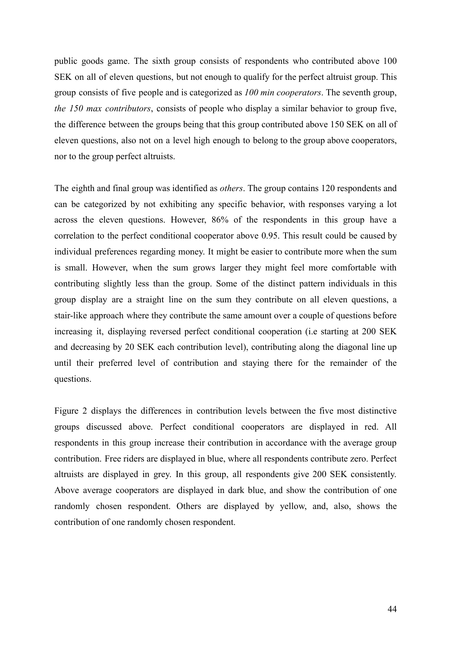public goods game. The sixth group consists of respondents who contributed above 100 SEK on all of eleven questions, but not enough to qualify for the perfect altruist group. This group consists of five people and is categorized as *100 min cooperators*. The seventh group, *the 150 max contributors*, consists of people who display a similar behavior to group five, the difference between the groups being that this group contributed above 150 SEK on all of eleven questions, also not on a level high enough to belong to the group above cooperators, nor to the group perfect altruists.

The eighth and final group was identified as *others*. The group contains 120 respondents and can be categorized by not exhibiting any specific behavior, with responses varying a lot across the eleven questions. However, 86% of the respondents in this group have a correlation to the perfect conditional cooperator above 0.95. This result could be caused by individual preferences regarding money. It might be easier to contribute more when the sum is small. However, when the sum grows larger they might feel more comfortable with contributing slightly less than the group. Some of the distinct pattern individuals in this group display are a straight line on the sum they contribute on all eleven questions, a stair-like approach where they contribute the same amount over a couple of questions before increasing it, displaying reversed perfect conditional cooperation (i.e starting at 200 SEK and decreasing by 20 SEK each contribution level), contributing along the diagonal line up until their preferred level of contribution and staying there for the remainder of the questions.

Figure 2 displays the differences in contribution levels between the five most distinctive groups discussed above. Perfect conditional cooperators are displayed in red. All respondents in this group increase their contribution in accordance with the average group contribution. Free riders are displayed in blue, where all respondents contribute zero. Perfect altruists are displayed in grey. In this group, all respondents give 200 SEK consistently. Above average cooperators are displayed in dark blue, and show the contribution of one randomly chosen respondent. Others are displayed by yellow, and, also, shows the contribution of one randomly chosen respondent.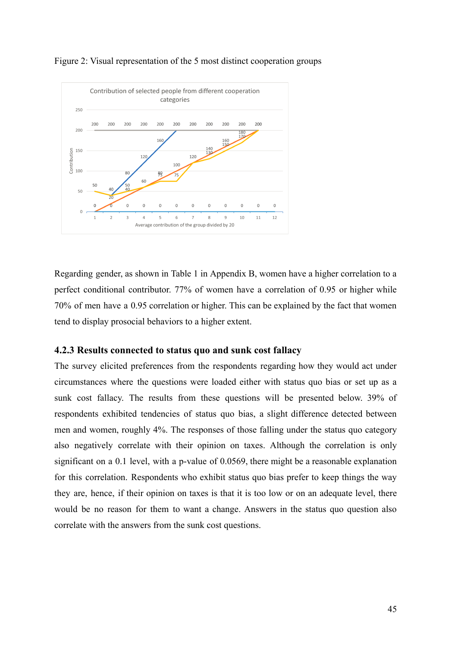

Figure 2: Visual representation of the 5 most distinct cooperation groups

Regarding gender, as shown in Table 1 in Appendix B, women have a higher correlation to a perfect conditional contributor. 77% of women have a correlation of 0.95 or higher while 70% of men have a 0.95 correlation or higher. This can be explained by the fact that women tend to display prosocial behaviors to a higher extent.

### <span id="page-44-0"></span>**4.2.3 Results connected to status quo and sunk cost fallacy**

The survey elicited preferences from the respondents regarding how they would act under circumstances where the questions were loaded either with status quo bias or set up as a sunk cost fallacy. The results from these questions will be presented below. 39% of respondents exhibited tendencies of status quo bias, a slight difference detected between men and women, roughly 4%. The responses of those falling under the status quo category also negatively correlate with their opinion on taxes. Although the correlation is only significant on a 0.1 level, with a p-value of 0.0569, there might be a reasonable explanation for this correlation. Respondents who exhibit status quo bias prefer to keep things the way they are, hence, if their opinion on taxes is that it is too low or on an adequate level, there would be no reason for them to want a change. Answers in the status quo question also correlate with the answers from the sunk cost questions.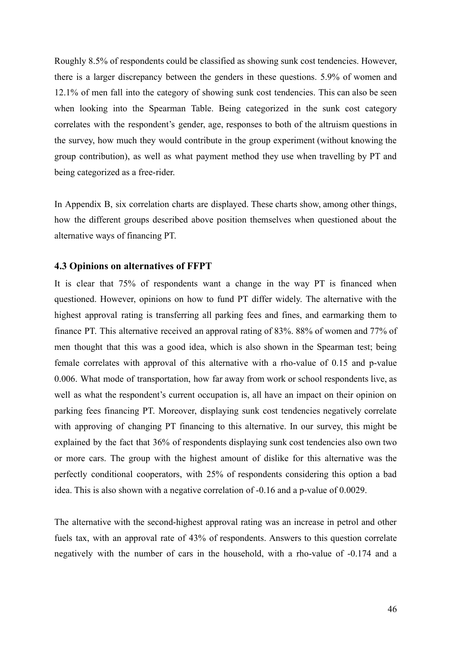Roughly 8.5% of respondents could be classified as showing sunk cost tendencies. However, there is a larger discrepancy between the genders in these questions. 5.9% of women and 12.1% of men fall into the category of showing sunk cost tendencies. This can also be seen when looking into the Spearman Table. Being categorized in the sunk cost category correlates with the respondent's gender, age, responses to both of the altruism questions in the survey, how much they would contribute in the group experiment (without knowing the group contribution), as well as what payment method they use when travelling by PT and being categorized as a free-rider.

In Appendix B, six correlation charts are displayed. These charts show, among other things, how the different groups described above position themselves when questioned about the alternative ways of financing PT.

### <span id="page-45-0"></span>**4.3 Opinions on alternatives of FFPT**

It is clear that 75% of respondents want a change in the way PT is financed when questioned. However, opinions on how to fund PT differ widely. The alternative with the highest approval rating is transferring all parking fees and fines, and earmarking them to finance PT. This alternative received an approval rating of 83%. 88% of women and 77% of men thought that this was a good idea, which is also shown in the Spearman test; being female correlates with approval of this alternative with a rho-value of 0.15 and p-value 0.006. What mode of transportation, how far away from work or school respondents live, as well as what the respondent's current occupation is, all have an impact on their opinion on parking fees financing PT. Moreover, displaying sunk cost tendencies negatively correlate with approving of changing PT financing to this alternative. In our survey, this might be explained by the fact that 36% of respondents displaying sunk cost tendencies also own two or more cars. The group with the highest amount of dislike for this alternative was the perfectly conditional cooperators, with 25% of respondents considering this option a bad idea. This is also shown with a negative correlation of -0.16 and a p-value of 0.0029.

The alternative with the second-highest approval rating was an increase in petrol and other fuels tax, with an approval rate of 43% of respondents. Answers to this question correlate negatively with the number of cars in the household, with a rho-value of -0.174 and a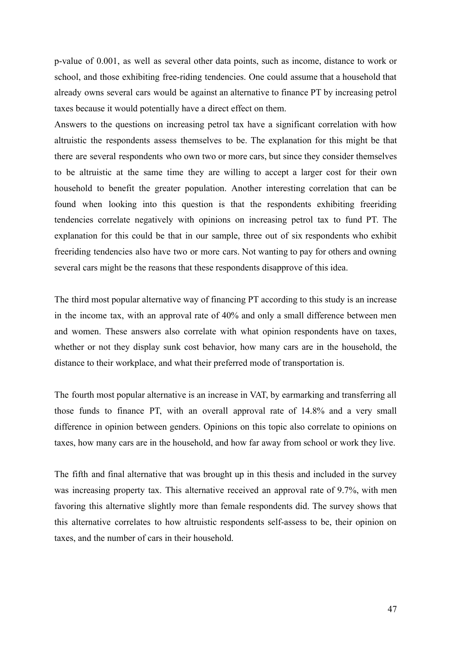p-value of 0.001, as well as several other data points, such as income, distance to work or school, and those exhibiting free-riding tendencies. One could assume that a household that already owns several cars would be against an alternative to finance PT by increasing petrol taxes because it would potentially have a direct effect on them.

Answers to the questions on increasing petrol tax have a significant correlation with how altruistic the respondents assess themselves to be. The explanation for this might be that there are several respondents who own two or more cars, but since they consider themselves to be altruistic at the same time they are willing to accept a larger cost for their own household to benefit the greater population. Another interesting correlation that can be found when looking into this question is that the respondents exhibiting freeriding tendencies correlate negatively with opinions on increasing petrol tax to fund PT. The explanation for this could be that in our sample, three out of six respondents who exhibit freeriding tendencies also have two or more cars. Not wanting to pay for others and owning several cars might be the reasons that these respondents disapprove of this idea.

The third most popular alternative way of financing PT according to this study is an increase in the income tax, with an approval rate of 40% and only a small difference between men and women. These answers also correlate with what opinion respondents have on taxes, whether or not they display sunk cost behavior, how many cars are in the household, the distance to their workplace, and what their preferred mode of transportation is.

The fourth most popular alternative is an increase in VAT, by earmarking and transferring all those funds to finance PT, with an overall approval rate of 14.8% and a very small difference in opinion between genders. Opinions on this topic also correlate to opinions on taxes, how many cars are in the household, and how far away from school or work they live.

The fifth and final alternative that was brought up in this thesis and included in the survey was increasing property tax. This alternative received an approval rate of 9.7%, with men favoring this alternative slightly more than female respondents did. The survey shows that this alternative correlates to how altruistic respondents self-assess to be, their opinion on taxes, and the number of cars in their household.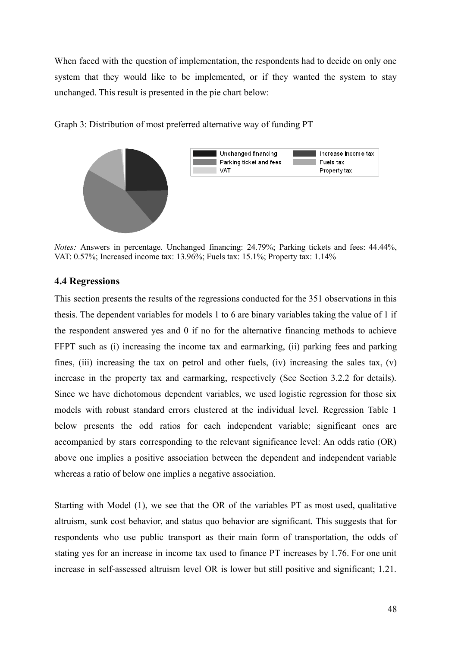When faced with the question of implementation, the respondents had to decide on only one system that they would like to be implemented, or if they wanted the system to stay unchanged. This result is presented in the pie chart below:



Graph 3: Distribution of most preferred alternative way of funding PT

*Notes:* Answers in percentage. Unchanged financing: 24.79%; Parking tickets and fees: 44.44%, VAT: 0.57%; Increased income tax: 13.96%; Fuels tax: 15.1%; Property tax: 1.14%

### <span id="page-47-0"></span>**4.4 Regressions**

This section presents the results of the regressions conducted for the 351 observations in this thesis. The dependent variables for models 1 to 6 are binary variables taking the value of 1 if the respondent answered yes and 0 if no for the alternative financing methods to achieve FFPT such as (i) increasing the income tax and earmarking, (ii) parking fees and parking fines, (iii) increasing the tax on petrol and other fuels, (iv) increasing the sales tax, (v) increase in the property tax and earmarking, respectively (See Section 3.2.2 for details). Since we have dichotomous dependent variables, we used logistic regression for those six models with robust standard errors clustered at the individual level. Regression Table 1 below presents the odd ratios for each independent variable; significant ones are accompanied by stars corresponding to the relevant significance level: An odds ratio (OR) above one implies a positive association between the dependent and independent variable whereas a ratio of below one implies a negative association.

Starting with Model (1), we see that the OR of the variables PT as most used, qualitative altruism, sunk cost behavior, and status quo behavior are significant. This suggests that for respondents who use public transport as their main form of transportation, the odds of stating yes for an increase in income tax used to finance PT increases by 1.76. For one unit increase in self-assessed altruism level OR is lower but still positive and significant; 1.21.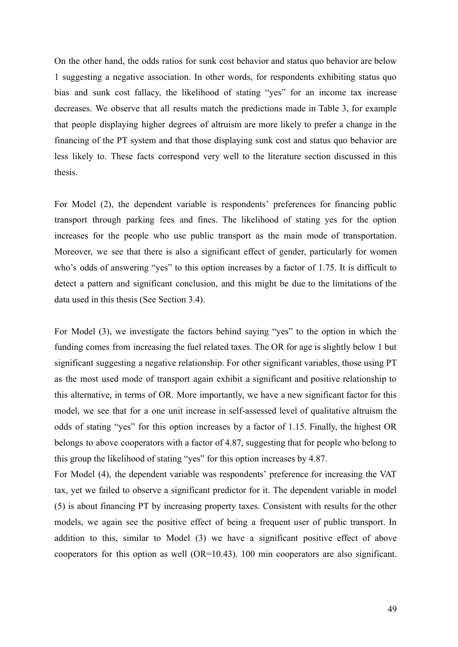On the other hand, the odds ratios for sunk cost behavior and status quo behavior are below 1 suggesting a negative association. In other words, for respondents exhibiting status quo bias and sunk cost fallacy, the likelihood of stating "yes" for an income tax increase decreases. We observe that all results match the predictions made in Table 3, for example that people displaying higher degrees of altruism are more likely to prefer a change in the financing of the PT system and that those displaying sunk cost and status quo behavior are less likely to. These facts correspond very well to the literature section discussed in this thesis.

For Model (2), the dependent variable is respondents' preferences for financing public transport through parking fees and fines. The likelihood of stating yes for the option increases for the people who use public transport as the main mode of transportation. Moreover, we see that there is also a significant effect of gender, particularly for women who's odds of answering "yes" to this option increases by a factor of 1.75. It is difficult to detect a pattern and significant conclusion, and this might be due to the limitations of the data used in this thesis (See Section 3.4).

For Model (3), we investigate the factors behind saying "yes" to the option in which the funding comes from increasing the fuel related taxes. The OR for age is slightly below 1 but significant suggesting a negative relationship. For other significant variables, those using PT as the most used mode of transport again exhibit a significant and positive relationship to this alternative, in terms of OR. More importantly, we have a new significant factor for this model, we see that for a one unit increase in self-assessed level of qualitative altruism the odds of stating "yes" for this option increases by a factor of 1.15. Finally, the highest OR belongs to above cooperators with a factor of 4.87, suggesting that for people who belong to this group the likelihood of stating "yes" for this option increases by 4.87.

For Model (4), the dependent variable was respondents' preference for increasing the VAT tax, yet we failed to observe a significant predictor for it. The dependent variable in model (5) is about financing PT by increasing property taxes. Consistent with results for the other models, we again see the positive effect of being a frequent user of public transport. In addition to this, similar to Model (3) we have a significant positive effect of above cooperators for this option as well (OR=10.43). 100 min cooperators are also significant.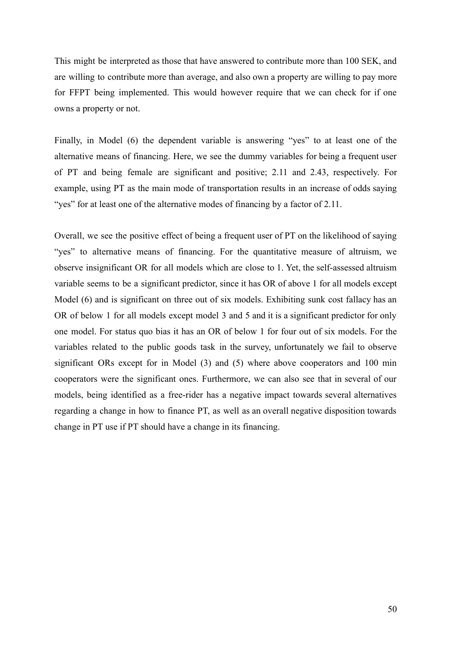This might be interpreted as those that have answered to contribute more than 100 SEK, and are willing to contribute more than average, and also own a property are willing to pay more for FFPT being implemented. This would however require that we can check for if one owns a property or not.

Finally, in Model (6) the dependent variable is answering "yes" to at least one of the alternative means of financing. Here, we see the dummy variables for being a frequent user of PT and being female are significant and positive; 2.11 and 2.43, respectively. For example, using PT as the main mode of transportation results in an increase of odds saying "yes" for at least one of the alternative modes of financing by a factor of 2.11.

Overall, we see the positive effect of being a frequent user of PT on the likelihood of saying "yes" to alternative means of financing. For the quantitative measure of altruism, we observe insignificant OR for all models which are close to 1. Yet, the self-assessed altruism variable seems to be a significant predictor, since it has OR of above 1 for all models except Model (6) and is significant on three out of six models. Exhibiting sunk cost fallacy has an OR of below 1 for all models except model 3 and 5 and it is a significant predictor for only one model. For status quo bias it has an OR of below 1 for four out of six models. For the variables related to the public goods task in the survey, unfortunately we fail to observe significant ORs except for in Model (3) and (5) where above cooperators and 100 min cooperators were the significant ones. Furthermore, we can also see that in several of our models, being identified as a free-rider has a negative impact towards several alternatives regarding a change in how to finance PT, as well as an overall negative disposition towards change in PT use if PT should have a change in its financing.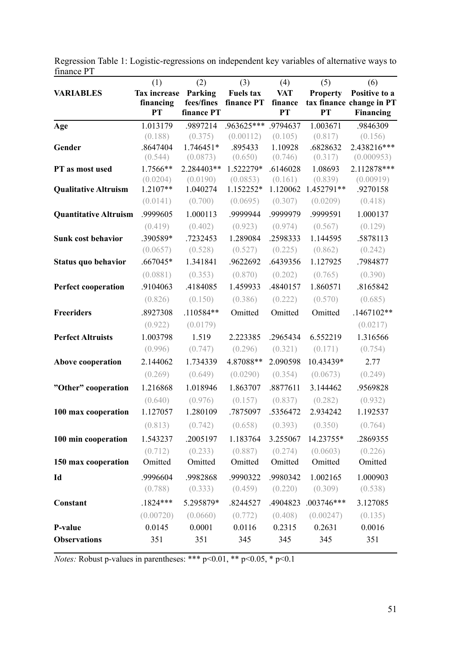|                              | (1)                              | (2)                   | (3)                            | (4)                   | (5)                   | (6)                                       |
|------------------------------|----------------------------------|-----------------------|--------------------------------|-----------------------|-----------------------|-------------------------------------------|
| <b>VARIABLES</b>             | <b>Tax increase</b><br>financing | Parking<br>fees/fines | <b>Fuels tax</b><br>finance PT | <b>VAT</b><br>finance | <b>Property</b>       | Positive to a<br>tax finance change in PT |
|                              | <b>PT</b>                        | finance PT            |                                | PT                    | <b>PT</b>             | <b>Financing</b>                          |
| Age                          | 1.013179                         | .9897214              | .963625***                     | .9794637              | 1.003671              | .9846309                                  |
|                              | (0.188)                          | (0.375)               | (0.00112)                      | (0.105)               | (0.817)               | (0.156)                                   |
| Gender                       | .8647404                         | 1.746451*             | .895433                        | 1.10928               | .6828632              | 2.438216***                               |
|                              | (0.544)                          | (0.0873)              | (0.650)                        | (0.746)               | (0.317)               | (0.000953)                                |
| PT as most used              | 1.7566**                         | 2.284403**            | 1.522279*                      | .6146028              | 1.08693               | 2.112878***                               |
|                              | (0.0204)<br>$1.2107**$           | (0.0190)<br>1.040274  | (0.0853)<br>1.152252*          | (0.161)<br>1.120062   | (0.839)<br>1.452791** | (0.00919)<br>.9270158                     |
| <b>Qualitative Altruism</b>  | (0.0141)                         | (0.700)               | (0.0695)                       | (0.307)               | (0.0209)              | (0.418)                                   |
|                              |                                  |                       |                                |                       |                       |                                           |
| <b>Quantitative Altruism</b> | .9999605                         | 1.000113              | .9999944                       | .9999979              | .9999591              | 1.000137                                  |
|                              | (0.419)                          | (0.402)               | (0.923)                        | (0.974)               | (0.567)               | (0.129)                                   |
| Sunk cost behavior           | .390589*                         | .7232453              | 1.289084                       | .2598333              | 1.144595              | .5878113                                  |
|                              | (0.0657)                         | (0.528)               | (0.527)                        | (0.225)               | (0.862)               | (0.242)                                   |
| Status quo behavior          | .667045*                         | 1.341841              | .9622692                       | .6439356              | 1.127925              | .7984877                                  |
|                              | (0.0881)                         | (0.353)               | (0.870)                        | (0.202)               | (0.765)               | (0.390)                                   |
| <b>Perfect cooperation</b>   | .9104063                         | .4184085              | 1.459933                       | .4840157              | 1.860571              | .8165842                                  |
|                              | (0.826)                          | (0.150)               | (0.386)                        | (0.222)               | (0.570)               | (0.685)                                   |
| <b>Freeriders</b>            | .8927308                         | .110584**             | Omitted                        | Omitted               | Omitted               | $.1467102**$                              |
|                              | (0.922)                          | (0.0179)              |                                |                       |                       | (0.0217)                                  |
| <b>Perfect Altruists</b>     | 1.003798                         | 1.519                 | 2.223385                       | .2965434              | 6.552219              | 1.316566                                  |
|                              | (0.996)                          | (0.747)               | (0.296)                        | (0.321)               | (0.171)               | (0.754)                                   |
| Above cooperation            | 2.144062                         | 1.734339              | 4.87088**                      | 2.090598              | 10.43439*             | 2.77                                      |
|                              | (0.269)                          | (0.649)               | (0.0290)                       | (0.354)               | (0.0673)              | (0.249)                                   |
| "Other" cooperation          | 1.216868                         | 1.018946              | 1.863707                       | .8877611              | 3.144462              | .9569828                                  |
|                              | (0.640)                          | (0.976)               | (0.157)                        | (0.837)               | (0.282)               | (0.932)                                   |
| 100 max cooperation          | 1.127057                         | 1.280109              | .7875097                       | .5356472              | 2.934242              | 1.192537                                  |
|                              | (0.813)                          | (0.742)               | (0.658)                        | (0.393)               | (0.350)               | (0.764)                                   |
|                              |                                  | .2005197              |                                |                       |                       |                                           |
| 100 min cooperation          | 1.543237                         |                       | 1.183764                       | 3.255067              | 14.23755*             | .2869355                                  |
| 150 max cooperation          | (0.712)<br>Omitted               | (0.233)<br>Omitted    | (0.887)<br>Omitted             | (0.274)<br>Omitted    | (0.0603)<br>Omitted   | (0.226)<br>Omitted                        |
|                              |                                  |                       |                                |                       |                       |                                           |
| Id                           | .9996604                         | .9982868              | .9990322                       | .9980342              | 1.002165              | 1.000903                                  |
|                              | (0.788)                          | (0.333)               | (0.459)                        | (0.220)               | (0.309)               | (0.538)                                   |
| Constant                     | $.1824***$                       | 5.295879*             | .8244527                       | .4904823              | .003746***            | 3.127085                                  |
|                              | (0.00720)                        | (0.0660)              | (0.772)                        | (0.408)               | (0.00247)             | (0.135)                                   |
| P-value                      | 0.0145                           | 0.0001                | 0.0116                         | 0.2315                | 0.2631                | 0.0016                                    |
| <b>Observations</b>          | 351                              | 351                   | 345                            | 345                   | 345                   | 351                                       |
|                              |                                  |                       |                                |                       |                       |                                           |

Regression Table 1: Logistic-regressions on independent key variables of alternative ways to finance PT

*Notes:* Robust p-values in parentheses: \*\*\*  $p<0.01$ , \*\*  $p<0.05$ , \*  $p<0.1$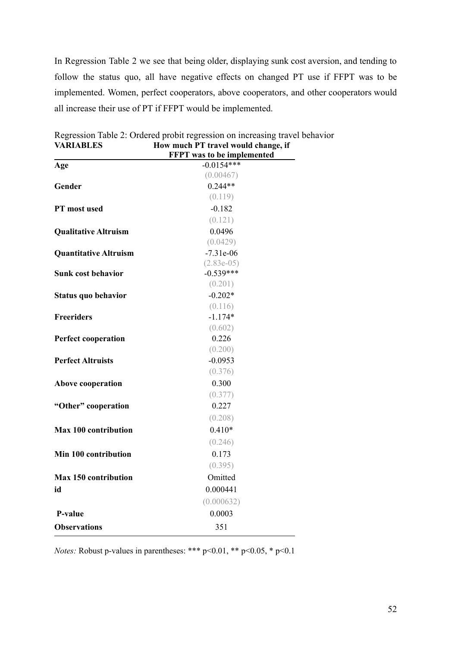In Regression Table 2 we see that being older, displaying sunk cost aversion, and tending to follow the status quo, all have negative effects on changed PT use if FFPT was to be implemented. Women, perfect cooperators, above cooperators, and other cooperators would all increase their use of PT if FFPT would be implemented.

|                              | <b>FFPT</b> was to be implemented |
|------------------------------|-----------------------------------|
| Age                          | $-0.0154***$                      |
|                              | (0.00467)                         |
| Gender                       | $0.244**$                         |
|                              | (0.119)                           |
| PT most used                 | $-0.182$                          |
|                              | (0.121)                           |
| <b>Qualitative Altruism</b>  | 0.0496                            |
|                              | (0.0429)                          |
| <b>Quantitative Altruism</b> | $-7.31e-06$                       |
|                              | $(2.83e-05)$                      |
| <b>Sunk cost behavior</b>    | $-0.539***$                       |
|                              | (0.201)                           |
| Status quo behavior          | $-0.202*$                         |
|                              | (0.116)                           |
| <b>Freeriders</b>            | $-1.174*$                         |
|                              | (0.602)                           |
| <b>Perfect cooperation</b>   | 0.226                             |
|                              | (0.200)                           |
| <b>Perfect Altruists</b>     | $-0.0953$                         |
|                              | (0.376)                           |
| Above cooperation            | 0.300                             |
|                              | (0.377)                           |
| "Other" cooperation          | 0.227                             |
|                              | (0.208)                           |
| <b>Max 100 contribution</b>  | $0.410*$                          |
|                              | (0.246)                           |
| Min 100 contribution         | 0.173                             |
|                              | (0.395)                           |
| Max 150 contribution         | Omitted                           |
| id                           | 0.000441                          |
|                              | (0.000632)                        |
| P-value                      | 0.0003                            |
| <b>Observations</b>          | 351                               |
|                              |                                   |

Regression Table 2: Ordered probit regression on increasing travel behavior **VARIABLES How much PT travel would change, if**  $\mathbf{f}$  **to be in** 

*Notes:* Robust p-values in parentheses: \*\*\* p<0.01, \*\* p<0.05, \* p<0.1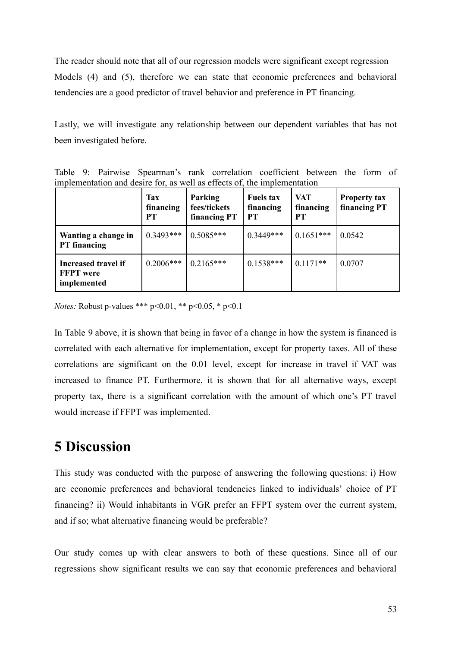The reader should note that all of our regression models were significant except regression Models (4) and (5), therefore we can state that economic preferences and behavioral tendencies are a good predictor of travel behavior and preference in PT financing.

Lastly, we will investigate any relationship between our dependent variables that has not been investigated before.

|  | Table 9: Pairwise Spearman's rank correlation coefficient between the form of |  |  |  |  |
|--|-------------------------------------------------------------------------------|--|--|--|--|
|  | implementation and desire for, as well as effects of, the implementation      |  |  |  |  |

|                                                        | <b>Tax</b><br>financing<br>PT | Parking<br>fees/tickets<br>financing PT | <b>Fuels tax</b><br>financing<br>PT | <b>VAT</b><br>financing<br><b>PT</b> | <b>Property tax</b><br>financing PT |
|--------------------------------------------------------|-------------------------------|-----------------------------------------|-------------------------------------|--------------------------------------|-------------------------------------|
| Wanting a change in<br><b>PT</b> financing             | $0.3493***$                   | $0.5085***$                             | $0.3449***$                         | $0.1651***$                          | 0.0542                              |
| Increased travel if<br><b>FFPT</b> were<br>implemented | $0.2006***$                   | $10.2165***$                            | $0.1538***$                         | $0.1171**$                           | 0.0707                              |

*Notes:* Robust p-values \*\*\* p<0.01, \*\* p<0.05, \* p<0.1

In Table 9 above, it is shown that being in favor of a change in how the system is financed is correlated with each alternative for implementation, except for property taxes. All of these correlations are significant on the 0.01 level, except for increase in travel if VAT was increased to finance PT. Furthermore, it is shown that for all alternative ways, except property tax, there is a significant correlation with the amount of which one's PT travel would increase if FFPT was implemented.

# <span id="page-52-0"></span>**5 Discussion**

This study was conducted with the purpose of answering the following questions: i) How are economic preferences and behavioral tendencies linked to individuals' choice of PT financing? ii) Would inhabitants in VGR prefer an FFPT system over the current system, and if so; what alternative financing would be preferable?

Our study comes up with clear answers to both of these questions. Since all of our regressions show significant results we can say that economic preferences and behavioral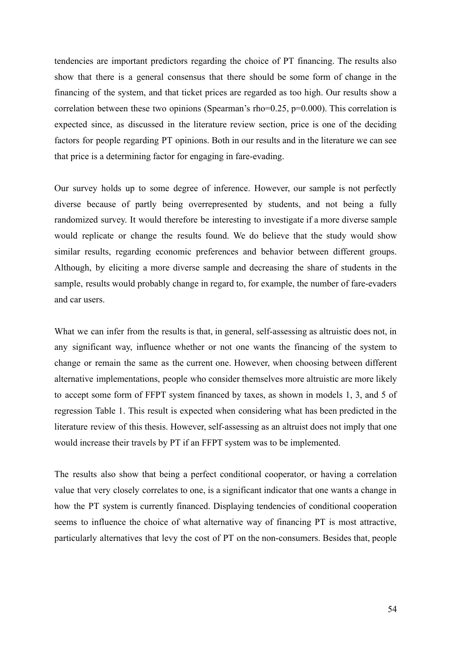tendencies are important predictors regarding the choice of PT financing. The results also show that there is a general consensus that there should be some form of change in the financing of the system, and that ticket prices are regarded as too high. Our results show a correlation between these two opinions (Spearman's rho=0.25, p=0.000). This correlation is expected since, as discussed in the literature review section, price is one of the deciding factors for people regarding PT opinions. Both in our results and in the literature we can see that price is a determining factor for engaging in fare-evading.

Our survey holds up to some degree of inference. However, our sample is not perfectly diverse because of partly being overrepresented by students, and not being a fully randomized survey. It would therefore be interesting to investigate if a more diverse sample would replicate or change the results found. We do believe that the study would show similar results, regarding economic preferences and behavior between different groups. Although, by eliciting a more diverse sample and decreasing the share of students in the sample, results would probably change in regard to, for example, the number of fare-evaders and car users.

What we can infer from the results is that, in general, self-assessing as altruistic does not, in any significant way, influence whether or not one wants the financing of the system to change or remain the same as the current one. However, when choosing between different alternative implementations, people who consider themselves more altruistic are more likely to accept some form of FFPT system financed by taxes, as shown in models 1, 3, and 5 of regression Table 1. This result is expected when considering what has been predicted in the literature review of this thesis. However, self-assessing as an altruist does not imply that one would increase their travels by PT if an FFPT system was to be implemented.

The results also show that being a perfect conditional cooperator, or having a correlation value that very closely correlates to one, is a significant indicator that one wants a change in how the PT system is currently financed. Displaying tendencies of conditional cooperation seems to influence the choice of what alternative way of financing PT is most attractive, particularly alternatives that levy the cost of PT on the non-consumers. Besides that, people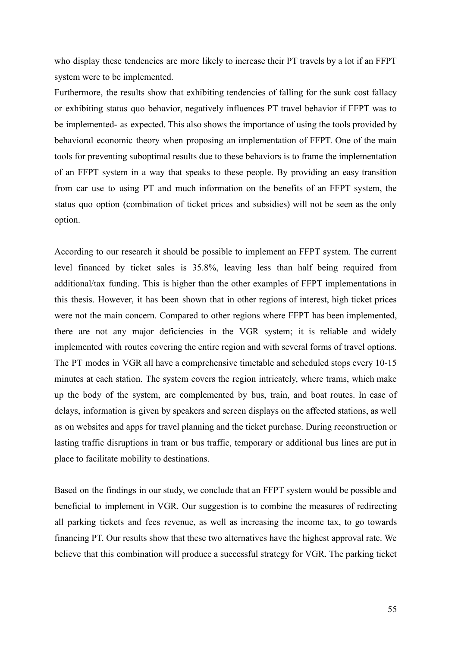who display these tendencies are more likely to increase their PT travels by a lot if an FFPT system were to be implemented.

Furthermore, the results show that exhibiting tendencies of falling for the sunk cost fallacy or exhibiting status quo behavior, negatively influences PT travel behavior if FFPT was to be implemented- as expected. This also shows the importance of using the tools provided by behavioral economic theory when proposing an implementation of FFPT. One of the main tools for preventing suboptimal results due to these behaviors is to frame the implementation of an FFPT system in a way that speaks to these people. By providing an easy transition from car use to using PT and much information on the benefits of an FFPT system, the status quo option (combination of ticket prices and subsidies) will not be seen as the only option.

According to our research it should be possible to implement an FFPT system. The current level financed by ticket sales is 35.8%, leaving less than half being required from additional/tax funding. This is higher than the other examples of FFPT implementations in this thesis. However, it has been shown that in other regions of interest, high ticket prices were not the main concern. Compared to other regions where FFPT has been implemented, there are not any major deficiencies in the VGR system; it is reliable and widely implemented with routes covering the entire region and with several forms of travel options. The PT modes in VGR all have a comprehensive timetable and scheduled stops every 10-15 minutes at each station. The system covers the region intricately, where trams, which make up the body of the system, are complemented by bus, train, and boat routes. In case of delays, information is given by speakers and screen displays on the affected stations, as well as on websites and apps for travel planning and the ticket purchase. During reconstruction or lasting traffic disruptions in tram or bus traffic, temporary or additional bus lines are put in place to facilitate mobility to destinations.

Based on the findings in our study, we conclude that an FFPT system would be possible and beneficial to implement in VGR. Our suggestion is to combine the measures of redirecting all parking tickets and fees revenue, as well as increasing the income tax, to go towards financing PT. Our results show that these two alternatives have the highest approval rate. We believe that this combination will produce a successful strategy for VGR. The parking ticket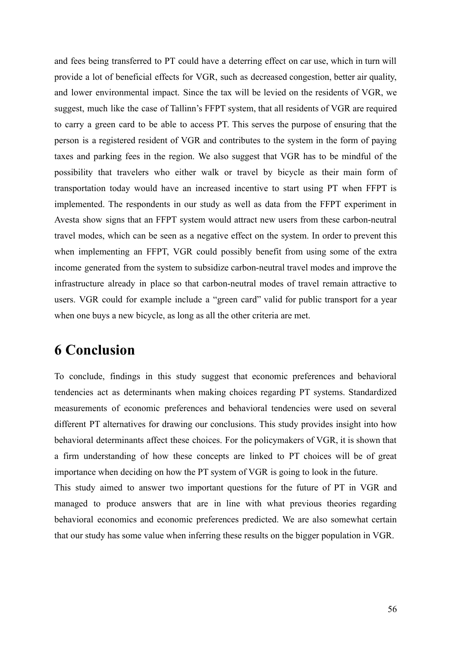and fees being transferred to PT could have a deterring effect on car use, which in turn will provide a lot of beneficial effects for VGR, such as decreased congestion, better air quality, and lower environmental impact. Since the tax will be levied on the residents of VGR, we suggest, much like the case of Tallinn's FFPT system, that all residents of VGR are required to carry a green card to be able to access PT. This serves the purpose of ensuring that the person is a registered resident of VGR and contributes to the system in the form of paying taxes and parking fees in the region. We also suggest that VGR has to be mindful of the possibility that travelers who either walk or travel by bicycle as their main form of transportation today would have an increased incentive to start using PT when FFPT is implemented. The respondents in our study as well as data from the FFPT experiment in Avesta show signs that an FFPT system would attract new users from these carbon-neutral travel modes, which can be seen as a negative effect on the system. In order to prevent this when implementing an FFPT, VGR could possibly benefit from using some of the extra income generated from the system to subsidize carbon-neutral travel modes and improve the infrastructure already in place so that carbon-neutral modes of travel remain attractive to users. VGR could for example include a "green card" valid for public transport for a year when one buys a new bicycle, as long as all the other criteria are met.

### <span id="page-55-0"></span>**6 Conclusion**

To conclude, findings in this study suggest that economic preferences and behavioral tendencies act as determinants when making choices regarding PT systems. Standardized measurements of economic preferences and behavioral tendencies were used on several different PT alternatives for drawing our conclusions. This study provides insight into how behavioral determinants affect these choices. For the policymakers of VGR, it is shown that a firm understanding of how these concepts are linked to PT choices will be of great importance when deciding on how the PT system of VGR is going to look in the future. This study aimed to answer two important questions for the future of PT in VGR and managed to produce answers that are in line with what previous theories regarding behavioral economics and economic preferences predicted. We are also somewhat certain

that our study has some value when inferring these results on the bigger population in VGR.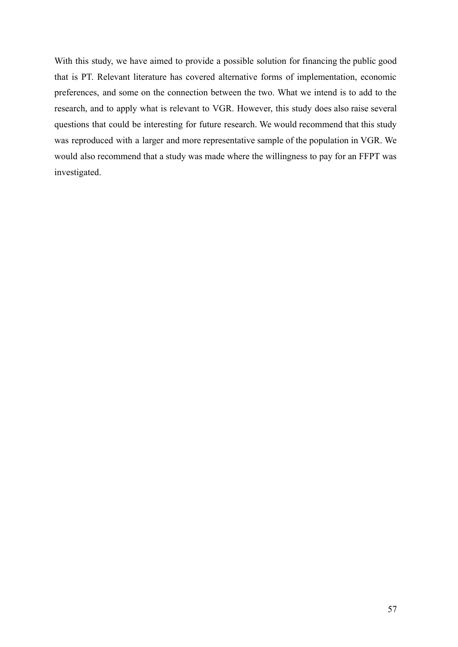With this study, we have aimed to provide a possible solution for financing the public good that is PT. Relevant literature has covered alternative forms of implementation, economic preferences, and some on the connection between the two. What we intend is to add to the research, and to apply what is relevant to VGR. However, this study does also raise several questions that could be interesting for future research. We would recommend that this study was reproduced with a larger and more representative sample of the population in VGR. We would also recommend that a study was made where the willingness to pay for an FFPT was investigated.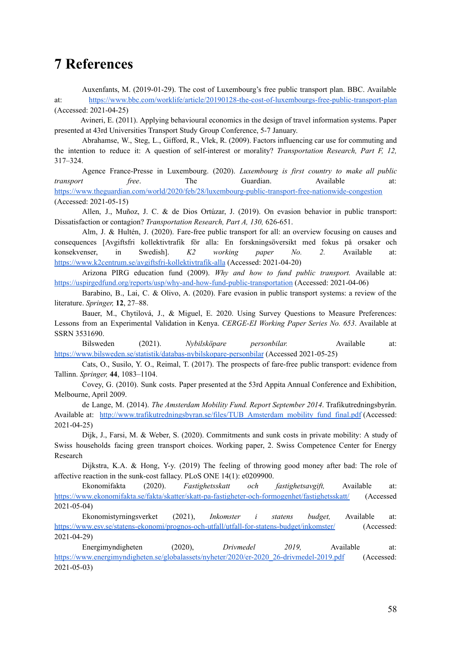### **7 References**

Auxenfants, M. (2019-01-29). The cost of Luxembourg's free public transport plan. BBC. Available at: <https://www.bbc.com/worklife/article/20190128-the-cost-of-luxembourgs-free-public-transport-plan> (Accessed: 2021-04-25)

Avineri, E. (2011). Applying behavioural economics in the design of travel information systems. Paper presented at 43rd Universities Transport Study Group Conference, 5-7 January.

Abrahamse, W., Steg, L., Gifford, R., Vlek, R. (2009). Factors influencing car use for commuting and the intention to reduce it: A question of self-interest or morality? *Transportation Research, Part F, 12,* 317–324.

Agence France-Presse in Luxembourg. (2020). *Luxembourg is first country to make all public transport free*. The Guardian. Available at: <https://www.theguardian.com/world/2020/feb/28/luxembourg-public-transport-free-nationwide-congestion> (Accessed: 2021-05-15)

Allen, J., Muñoz, J. C. & de Dios Ortúzar, J. (2019). On evasion behavior in public transport: Dissatisfaction or contagion? *Transportation Research, Part A, 130,* 626-651.

Alm, J. & Hultén, J. (2020). Fare-free public transport for all: an overview focusing on causes and consequences [Avgiftsfri kollektivtrafik för alla: En forskningsöversikt med fokus på orsaker och konsekvenser, in Swedish]. *K2 working paper No. 2.* Available at: <https://www.k2centrum.se/avgiftsfri-kollektivtrafik-alla> (Accessed: 2021-04-20)

Arizona PIRG education fund (2009). *Why and how to fund public transport.* Available at: <https://uspirgedfund.org/reports/usp/why-and-how-fund-public-transportation> (Accessed: 2021-04-06)

Barabino, B., Lai, C. & Olivo, A. (2020). Fare evasion in public transport systems: a review of the literature. *Springer,* **12**, 27–88.

Bauer, M., Chytilová, J., & Miguel, E. 2020. Using Survey Questions to Measure Preferences: Lessons from an Experimental Validation in Kenya. *CERGE-EI Working Paper Series No. 653*. Available at SSRN 3531690.

Bilsweden (2021). *Nybilsköpare personbilar.* Available at: <https://www.bilsweden.se/statistik/databas-nybilskopare-personbilar> (Accessed 2021-05-25)

Cats, O., Susilo, Y. O., Reimal, T. (2017). The prospects of fare-free public transport: evidence from Tallinn. *Springer,* **44**, 1083–1104.

Covey, G. (2010). Sunk costs. Paper presented at the 53rd Appita Annual Conference and Exhibition, Melbourne, April 2009.

de Lange, M. (2014). *The Amsterdam Mobility Fund. Report September 2014*. Trafikutredningsbyrån. Available at: [http://www.trafikutredningsbyran.se/files/TUB\\_Amsterdam\\_mobility\\_fund\\_final.pdf](http://www.trafikutredningsbyran.se/files/TUB_Amsterdam_mobility_fund_final.pdf) (Accessed: 2021-04-25)

Dijk, J., Farsi, M. & Weber, S. (2020). Commitments and sunk costs in private mobility: A study of Swiss households facing green transport choices. Working paper, 2. Swiss Competence Center for Energy Research

Dijkstra, K.A. & Hong, Y-y. (2019) The feeling of throwing good money after bad: The role of affective reaction in the sunk-cost fallacy. PLoS ONE 14(1): e0209900.

Ekonomifakta (2020). *Fastighetsskatt och fastighetsavgift,* Available at: <https://www.ekonomifakta.se/fakta/skatter/skatt-pa-fastigheter-och-formogenhet/fastighetsskatt/> (Accessed 2021-05-04)

Ekonomistyrningsverket (2021), *Inkomster i statens budget,* Available at: <https://www.esv.se/statens-ekonomi/prognos-och-utfall/utfall-for-statens-budget/inkomster/> (Accessed: 2021-04-29)

Energimyndigheten (2020), *Drivmedel 2019,* Available at: [https://www.energimyndigheten.se/globalassets/nyheter/2020/er-2020\\_26-drivmedel-2019.pdf](https://www.energimyndigheten.se/globalassets/nyheter/2020/er-2020_26-drivmedel-2019.pdf) (Accessed: 2021-05-03)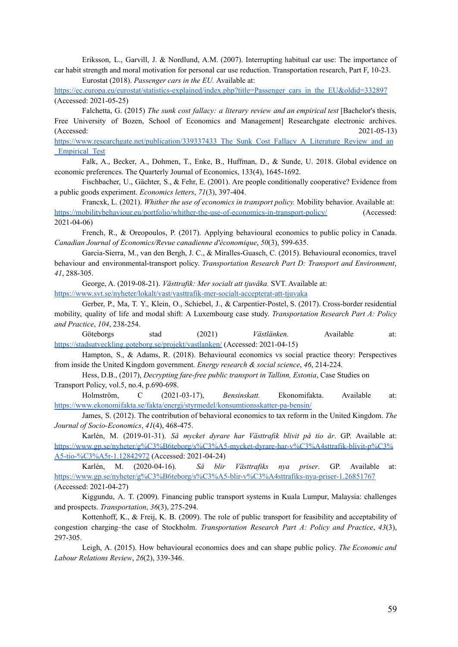Eriksson, L., Garvill, J. & Nordlund, A.M. (2007). Interrupting habitual car use: The importance of car habit strength and moral motivation for personal car use reduction. Transportation research, Part F, 10-23. Eurostat (2018). *Passenger cars in the EU.* Available at:

[https://ec.europa.eu/eurostat/statistics-explained/index.php?title=Passenger\\_cars\\_in\\_the\\_EU&oldid=332897](https://ec.europa.eu/eurostat/statistics-explained/index.php?title=Passenger_cars_in_the_EU&oldid=332897) (Accessed: 2021-05-25)

Falchetta, G. (2015) *The sunk cost fallacy: a literary review and an empirical test* [Bachelor's thesis, Free University of Bozen, School of Economics and Management] Researchgate electronic archives. (Accessed: 2021-05-13)

[https://www.researchgate.net/publication/339337433\\_The\\_Sunk\\_Cost\\_Fallacy\\_A\\_Literature\\_Review\\_and\\_an](https://www.researchgate.net/publication/339337433_The_Sunk_Cost_Fallacy_A_Literature_Review_and_an_Empirical_Test) [\\_Empirical\\_Test](https://www.researchgate.net/publication/339337433_The_Sunk_Cost_Fallacy_A_Literature_Review_and_an_Empirical_Test)

Falk, A., Becker, A., Dohmen, T., Enke, B., Huffman, D., & Sunde, U. 2018. Global evidence on economic preferences. The Quarterly Journal of Economics, 133(4), 1645-1692.

Fischbacher, U., Gächter, S., & Fehr, E. (2001). Are people conditionally cooperative? Evidence from a public goods experiment. *Economics letters*, *71*(3), 397-404.

Francxk, L. (2021). *Whither the use of economics in transport policy.* Mobility behavior. Available at: <https://mobilitybehaviour.eu/portfolio/whither-the-use-of-economics-in-transport-policy/> (Accessed: 2021-04-06)

French, R., & Oreopoulos, P. (2017). Applying behavioural economics to public policy in Canada. *Canadian Journal of Economics/Revue canadienne d'économique*, *50*(3), 599-635.

Garcia-Sierra, M., van den Bergh, J. C., & Miralles-Guasch, C. (2015). Behavioural economics, travel behaviour and environmental-transport policy. *Transportation Research Part D: Transport and Environment*, *41*, 288-305.

George, A. (2019-08-21). *Västtrafik: Mer socialt att tjuvåka.* SVT. Available at:

<https://www.svt.se/nyheter/lokalt/vast/vasttrafik-mer-socialt-accepterat-att-tjuvaka>

Gerber, P., Ma, T. Y., Klein, O., Schiebel, J., & Carpentier-Postel, S. (2017). Cross-border residential mobility, quality of life and modal shift: A Luxembourg case study. *Transportation Research Part A: Policy and Practice*, *104*, 238-254.

Göteborgs stad (2021) *Västlänken*. Available at: <https://stadsutveckling.goteborg.se/projekt/vastlanken/> (Accessed: 2021-04-15)

Hampton, S., & Adams, R. (2018). Behavioural economics vs social practice theory: Perspectives from inside the United Kingdom government. *Energy research & social science*, *46*, 214-224.

Hess, D.B., (2017), *Decrypting fare-free public transport in Tallinn, Estonia*, Case Studies on Transport Policy, vol.5, no.4, p.690-698.

Holmström, C (2021-03-17), *Bensinskatt.* Ekonomifakta. Available at: <https://www.ekonomifakta.se/fakta/energi/styrmedel/konsumtionsskatter-pa-bensin/>

James, S. (2012). The contribution of behavioral economics to tax reform in the United Kingdom. *The Journal of Socio-Economics*, *41*(4), 468-475.

Karlén, M. (2019-01-31). *Så mycket dyrare har Västtrafik blivit på tio år*. GP. Available at: [https://www.gp.se/nyheter/g%C3%B6teborg/s%C3%A5-mycket-dyrare-har-v%C3%A4sttrafik-blivit-p%C3%](https://www.gp.se/nyheter/g%C3%B6teborg/s%C3%A5-mycket-dyrare-har-v%C3%A4sttrafik-blivit-p%C3%A5-tio-%C3%A5r-1.12842972) [A5-tio-%C3%A5r-1.12842972](https://www.gp.se/nyheter/g%C3%B6teborg/s%C3%A5-mycket-dyrare-har-v%C3%A4sttrafik-blivit-p%C3%A5-tio-%C3%A5r-1.12842972) (Accessed: 2021-04-24)

Karlén, M. (2020-04-16). *Så blir Västtrafiks nya priser*. GP. Available at: <https://www.gp.se/nyheter/g%C3%B6teborg/s%C3%A5-blir-v%C3%A4sttrafiks-nya-priser-1.26851767> (Accessed: 2021-04-27)

Kiggundu, A. T. (2009). Financing public transport systems in Kuala Lumpur, Malaysia: challenges and prospects. *Transportation*, *36*(3), 275-294.

Kottenhoff, K., & Freij, K. B. (2009). The role of public transport for feasibility and acceptability of congestion charging–the case of Stockholm. *Transportation Research Part A: Policy and Practice*, *43*(3), 297-305.

Leigh, A. (2015). How behavioural economics does and can shape public policy. *The Economic and Labour Relations Review*, *26*(2), 339-346.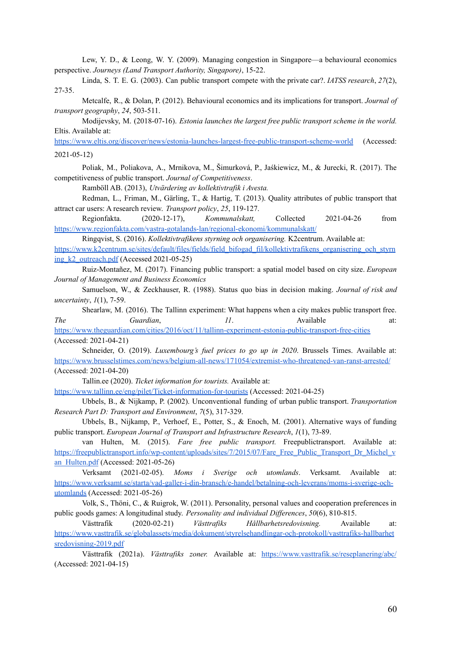Lew, Y. D., & Leong, W. Y. (2009). Managing congestion in Singapore—a behavioural economics perspective. *Journeys (Land Transport Authority, Singapore)*, 15-22.

Linda, S. T. E. G. (2003). Can public transport compete with the private car?. *IATSS research*, *27*(2), 27-35.

Metcalfe, R., & Dolan, P. (2012). Behavioural economics and its implications for transport. *Journal of transport geography*, *24*, 503-511.

Modijevsky, M. (2018-07-16). *Estonia launches the largest free public transport scheme in the world.* Eltis. Available at:

<https://www.eltis.org/discover/news/estonia-launches-largest-free-public-transport-scheme-world> (Accessed: 2021-05-12)

Poliak, M., Poliakova, A., Mrnikova, M., Šimurková, P., Jaśkiewicz, M., & Jurecki, R. (2017). The competitiveness of public transport. *Journal of Competitiveness*.

Ramböll AB. (2013), *Utvärdering av kollektivtrafik i Avesta.*

Redman, L., Friman, M., Gärling, T., & Hartig, T. (2013). Quality attributes of public transport that attract car users: A research review. *Transport policy*, *25*, 119-127.

Regionfakta. (2020-12-17), *Kommunalskatt,* Collected 2021-04-26 from <https://www.regionfakta.com/vastra-gotalands-lan/regional-ekonomi/kommunalskatt/>

Ringqvist, S. (2016). *Kollektivtrafikens styrning och organisering.* K2centrum. Available at:

[https://www.k2centrum.se/sites/default/files/fields/field\\_bifogad\\_fil/kollektivtrafikens\\_organisering\\_och\\_styrn](https://www.k2centrum.se/sites/default/files/fields/field_bifogad_fil/kollektivtrafikens_organisering_och_styrning_k2_outreach.pdf) ing  $k2$  outreach.pdf (Accessed 2021-05-25)

Ruiz-Montañez, M. (2017). Financing public transport: a spatial model based on city size. *European Journal of Management and Business Economics*

Samuelson, W., & Zeckhauser, R. (1988). Status quo bias in decision making. *Journal of risk and uncertainty*, *1*(1), 7-59.

Shearlaw, M. (2016). The Tallinn experiment: What happens when a city makes public transport free. *The Guardian*, *11*. Available at:

<https://www.theguardian.com/cities/2016/oct/11/tallinn-experiment-estonia-public-transport-free-cities> (Accessed: 2021-04-21)

Schneider, O. (2019). *Luxembourg's fuel prices to go up in 2020*. Brussels Times. Available at: <https://www.brusselstimes.com/news/belgium-all-news/171054/extremist-who-threatened-van-ranst-arrested/> (Accessed: 2021-04-20)

Tallin.ee (2020). *Ticket information for tourists.* Available at:

<https://www.tallinn.ee/eng/pilet/Ticket-information-for-tourists> (Accessed: 2021-04-25)

Ubbels, B., & Nijkamp, P. (2002). Unconventional funding of urban public transport. *Transportation Research Part D: Transport and Environment*, *7*(5), 317-329.

Ubbels, B., Nijkamp, P., Verhoef, E., Potter, S., & Enoch, M. (2001). Alternative ways of funding public transport. *European Journal of Transport and Infrastructure Research*, *1*(1), 73-89.

van Hulten, M. (2015). *Fare free public transport.* Freepublictransport. Available at: [https://freepublictransport.info/wp-content/uploads/sites/7/2015/07/Fare\\_Free\\_Public\\_Transport\\_Dr\\_Michel\\_v](https://freepublictransport.info/wp-content/uploads/sites/7/2015/07/Fare_Free_Public_Transport_Dr_Michel_van_Hulten.pdf) [an\\_Hulten.pdf](https://freepublictransport.info/wp-content/uploads/sites/7/2015/07/Fare_Free_Public_Transport_Dr_Michel_van_Hulten.pdf) (Accessed: 2021-05-26)

Verksamt (2021-02-05). *Moms i Sverige och utomlands*. Verksamt. Available at: [https://www.verksamt.se/starta/vad-galler-i-din-bransch/e-handel/betalning-och-leverans/moms-i-sverige-och](https://www.verksamt.se/starta/vad-galler-i-din-bransch/e-handel/betalning-och-leverans/moms-i-sverige-och-utomlands)[utomlands](https://www.verksamt.se/starta/vad-galler-i-din-bransch/e-handel/betalning-och-leverans/moms-i-sverige-och-utomlands) (Accessed: 2021-05-26)

Volk, S., Thöni, C., & Ruigrok, W. (2011). Personality, personal values and cooperation preferences in public goods games: A longitudinal study. *Personality and individual Dif erences*, *50*(6), 810-815.

Västtrafik (2020-02-21) *Västtrafiks Hållbarhetsredovisning.* Available at: [https://www.vasttrafik.se/globalassets/media/dokument/styrelsehandlingar-och-protokoll/vasttrafiks-hallbarhet](https://www.vasttrafik.se/globalassets/media/dokument/styrelsehandlingar-och-protokoll/vasttrafiks-hallbarhetsredovisning-2019.pdf) [sredovisning-2019.pdf](https://www.vasttrafik.se/globalassets/media/dokument/styrelsehandlingar-och-protokoll/vasttrafiks-hallbarhetsredovisning-2019.pdf)

Västtrafik (2021a). *Västtrafiks zoner.* Available at: <https://www.vasttrafik.se/reseplanering/abc/> (Accessed: 2021-04-15)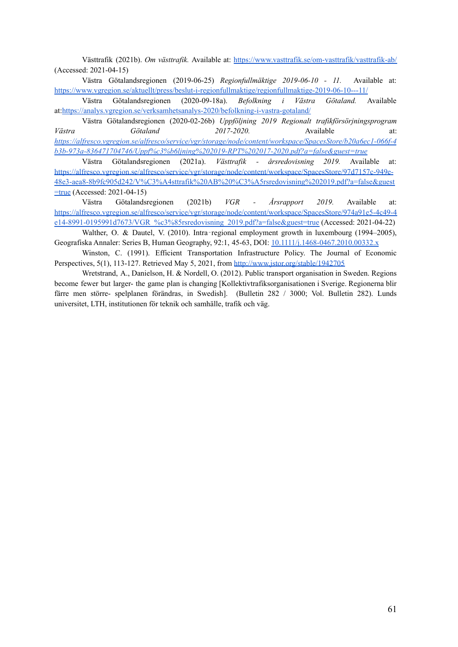Västtrafik (2021b). *Om västtrafik.* Available at: <https://www.vasttrafik.se/om-vasttrafik/vasttrafik-ab/> (Accessed: 2021-04-15)

Västra Götalandsregionen (2019-06-25) *Regionfullmäktige 2019-06-10 - 11.* Available at: <https://www.vgregion.se/aktuellt/press/beslut-i-regionfullmaktige/regionfullmaktige-2019-06-10---11/>

Västra Götalandsregionen (2020-09-18a). *Befolkning i Västra Götaland.* Available at:<https://analys.vgregion.se/verksamhetsanalys-2020/befolkning-i-vastra-gotaland/>

Västra Götalandsregionen (2020-02-26b) *Uppföljning 2019 Regionalt trafikförsörjningsprogram Västra Götaland 2017-2020.* Available at: *[https://alfresco.vgregion.se/alfresco/service/vgr/storage/node/content/workspace/SpacesStore/b20a6ec1-066f-4](https://alfresco.vgregion.se/alfresco/service/vgr/storage/node/content/workspace/SpacesStore/b20a6ec1-066f-4b3b-973a-836471704746/Uppf%c3%b6ljning%202019-RPT%202017-2020.pdf?a=false&guest=true) [b3b-973a-836471704746/Uppf%c3%b6ljning%202019-RPT%202017-2020.pdf?a=false&guest=true](https://alfresco.vgregion.se/alfresco/service/vgr/storage/node/content/workspace/SpacesStore/b20a6ec1-066f-4b3b-973a-836471704746/Uppf%c3%b6ljning%202019-RPT%202017-2020.pdf?a=false&guest=true)*

Västra Götalandsregionen (2021a). *Västtrafik - årsredovisning 2019.* Available at: [https://alfresco.vgregion.se/alfresco/service/vgr/storage/node/content/workspace/SpacesStore/97d7157c-949e-](https://alfresco.vgregion.se/alfresco/service/vgr/storage/node/content/workspace/SpacesStore/97d7157c-949e-48e3-aea8-8b9fc905d242/V%C3%A4sttrafik%20AB%20%C3%A5rsredovisning%202019.pdf?a=false&guest=true)[48e3-aea8-8b9fc905d242/V%C3%A4sttrafik%20AB%20%C3%A5rsredovisning%202019.pdf?a=false&guest](https://alfresco.vgregion.se/alfresco/service/vgr/storage/node/content/workspace/SpacesStore/97d7157c-949e-48e3-aea8-8b9fc905d242/V%C3%A4sttrafik%20AB%20%C3%A5rsredovisning%202019.pdf?a=false&guest=true) [=true](https://alfresco.vgregion.se/alfresco/service/vgr/storage/node/content/workspace/SpacesStore/97d7157c-949e-48e3-aea8-8b9fc905d242/V%C3%A4sttrafik%20AB%20%C3%A5rsredovisning%202019.pdf?a=false&guest=true) (Accessed: 2021-04-15)

Västra Götalandsregionen (2021b) *VGR - Årsrapport 2019.* Available at: [https://alfresco.vgregion.se/alfresco/service/vgr/storage/node/content/workspace/SpacesStore/974a91e5-4c49-4](https://alfresco.vgregion.se/alfresco/service/vgr/storage/node/content/workspace/SpacesStore/974a91e5-4c49-4e14-8991-0195991d7673/VGR_%c3%85rsredovisning_2019.pdf?a=false&guest=true) [e14-8991-0195991d7673/VGR\\_%c3%85rsredovisning\\_2019.pdf?a=false&guest=true](https://alfresco.vgregion.se/alfresco/service/vgr/storage/node/content/workspace/SpacesStore/974a91e5-4c49-4e14-8991-0195991d7673/VGR_%c3%85rsredovisning_2019.pdf?a=false&guest=true) (Accessed: 2021-04-22)

Walther, O. & Dautel, V. (2010). Intra-regional employment growth in luxembourg (1994–2005). Geografiska Annaler: Series B, Human Geography, 92:1, 45-63, DOI: [10.1111/j.1468-0467.2010.00332.x](https://doi.org/10.1111/j.1468-0467.2010.00332.x)

Winston, C. (1991). Efficient Transportation Infrastructure Policy. The Journal of Economic Perspectives, 5(1), 113-127. Retrieved May 5, 2021, from <http://www.jstor.org/stable/1942705>

Wretstrand, A., Danielson, H. & Nordell, O. (2012). Public transport organisation in Sweden. Regions become fewer but larger- the game plan is changing [Kollektivtrafiksorganisationen i Sverige. Regionerna blir färre men större- spelplanen förändras, in Swedish]. (Bulletin 282 / 3000; Vol. Bulletin 282). Lunds universitet, LTH, institutionen för teknik och samhälle, trafik och väg.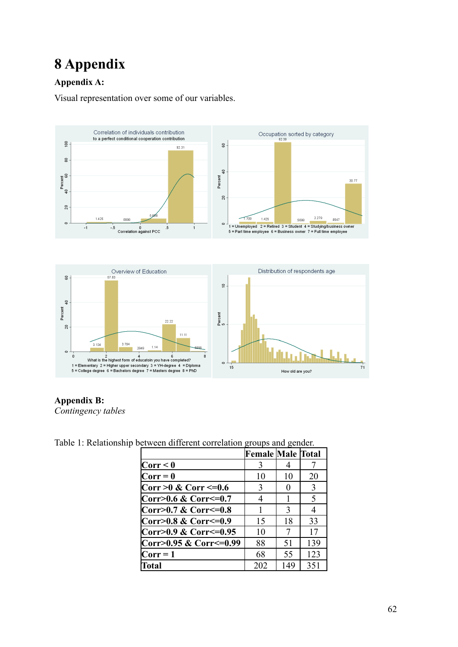# <span id="page-61-0"></span>**8 Appendix**

### **Appendix A:**

Visual representation over some of our variables.





### **Appendix B:**

*Contingency tables*

Table 1: Relationship between different correlation groups and gender.

| concent annorem correlation groups and gender. |                          |               |     |
|------------------------------------------------|--------------------------|---------------|-----|
|                                                | <b>Female Male Total</b> |               |     |
| Corr < 0                                       |                          |               |     |
| $Corr = 0$                                     | 10                       | 10            | 20  |
| $Corr > 0$ & Corr <= 0.6                       | 3                        |               | 3   |
| Corr>0.6 & Corr<=0.7                           | 4                        |               | 5   |
| Corr>0.7 & Corr<=0.8                           |                          | $\mathcal{E}$ |     |
| Corr>0.8 & Corr<=0.9                           | 15                       | 18            | 33  |
| Corr>0.9 & Corr<=0.95                          | 10                       |               | 17  |
| Corr>0.95 & Corr<=0.99                         | 88                       | 51            | 139 |
| $Corr = 1$                                     | 68                       | 55            | 123 |
| <b>Total</b>                                   | 202                      | 149           | 351 |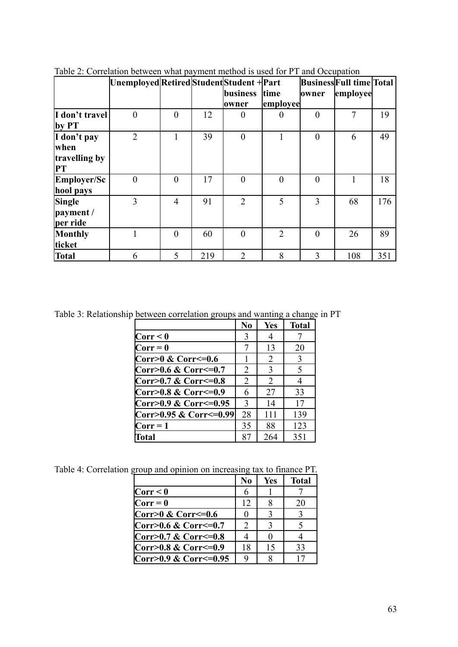| Table 2. Conclution between what payment method is used for 1 T and Occupation |                                           |          |     |                 |                |                |                          |     |
|--------------------------------------------------------------------------------|-------------------------------------------|----------|-----|-----------------|----------------|----------------|--------------------------|-----|
|                                                                                | Unemployed Retired Student Student + Part |          |     |                 |                |                | Business Full time Total |     |
|                                                                                |                                           |          |     | <b>business</b> | time           | owner          | employee                 |     |
|                                                                                |                                           |          |     | lowner          | employee       |                |                          |     |
| I don't travel                                                                 | $\Omega$                                  | $\Omega$ | 12  |                 |                | $\theta$       | $\tau$                   | 19  |
| $\mathbf{by PT}$                                                               |                                           |          |     |                 |                |                |                          |     |
| I don't pay                                                                    | $\overline{2}$                            | 1        | 39  | $\theta$        |                | $\overline{0}$ | 6                        | 49  |
| when                                                                           |                                           |          |     |                 |                |                |                          |     |
| travelling by                                                                  |                                           |          |     |                 |                |                |                          |     |
| PT                                                                             |                                           |          |     |                 |                |                |                          |     |
| Employer/Sc                                                                    | $\theta$                                  | $\theta$ | 17  | $\Omega$        | $\theta$       | $\theta$       |                          | 18  |
| hool pays                                                                      |                                           |          |     |                 |                |                |                          |     |
| Single                                                                         | 3                                         | 4        | 91  | $\overline{2}$  | 5              | 3              | 68                       | 176 |
| payment /                                                                      |                                           |          |     |                 |                |                |                          |     |
| per ride                                                                       |                                           |          |     |                 |                |                |                          |     |
| Monthly                                                                        |                                           | $\theta$ | 60  | $\theta$        | $\overline{2}$ | $\theta$       | 26                       | 89  |
| ticket                                                                         |                                           |          |     |                 |                |                |                          |     |
| <b>Total</b>                                                                   | 6                                         | 5        | 219 | $\overline{2}$  | 8              | 3              | 108                      | 351 |

Table 2: Correlation between what payment method is used for PT and Occupation

Table 3: Relationship between correlation groups and wanting a change in PT

| N <sub>0</sub>                | <b>Yes</b>    | <b>Total</b> |
|-------------------------------|---------------|--------------|
| 3                             | 4             |              |
|                               | 13            | 20           |
|                               | 2             | 3            |
| 2                             | $\mathcal{E}$ | 5            |
| $\overline{2}$                | 2             |              |
| 6                             | 27            | 33           |
| 3                             | 14            | 17           |
| Corr>0.95 & Corr<=0.99 <br>28 | 111           | 139          |
| 35                            | 88            | 123          |
| 87                            | 264           | 351          |
|                               |               |              |

Table 4: Correlation group and opinion on increasing tax to finance PT.

|                       | N <sub>0</sub>              | Yes | <b>Total</b> |
|-----------------------|-----------------------------|-----|--------------|
| Corr < 0              | 6                           |     |              |
| $Corr = 0$            | 12                          |     | 20           |
| Corr>0 & Corr<=0.6    |                             |     |              |
| Corr>0.6 & Corr<=0.7  | $\mathcal{D}_{\mathcal{L}}$ | 3   |              |
| Corr>0.7 & Corr<=0.8  |                             |     |              |
| Corr>0.8 & Corr<=0.9  | 18                          | 15  | 33           |
| Corr>0.9 & Corr<=0.95 |                             |     |              |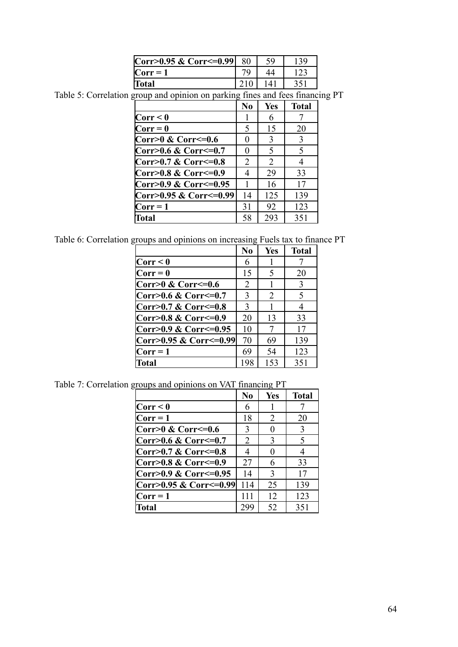| Corr>0.95 & Corr<=0.99 |  |  |
|------------------------|--|--|
| $\bf Corr=1$           |  |  |
| Total                  |  |  |

Table 5: Correlation group and opinion on parking fines and fees financing PT

|                             | N <sub>0</sub> | <b>Yes</b> | <b>Total</b> |
|-----------------------------|----------------|------------|--------------|
| Corr < 0                    |                | 6          |              |
| $Corr = 0$                  | 5              | 15         | 20           |
| $Corr > 0$ & $Corr < = 0.6$ | $\theta$       | 3          | 3            |
| Corr>0.6 & Corr<=0.7        | 0              | 5          | 5            |
| Corr>0.7 & Corr<=0.8        | 2              | 2          | 4            |
| Corr>0.8 & Corr<=0.9        | 4              | 29         | 33           |
| Corr>0.9 & Corr<=0.95       |                | 16         | 17           |
| Corr>0.95 & Corr<=0.99      | 14             | 125        | 139          |
| $Corr = 1$                  | 31             | 92         | 123          |
| <b>Total</b>                | 58             | 293        | 351          |

Table 6: Correlation groups and opinions on increasing Fuels tax to finance PT

|                        | $\bf No$ | Yes | <b>Total</b>  |
|------------------------|----------|-----|---------------|
| Corr < 0               | 6        |     |               |
| $Corr = 0$             | 15       | 5   | 20            |
| Corr>0 & Corr<=0.6     | 2        |     | $\mathcal{E}$ |
| Corr>0.6 & Corr<=0.7   | 3        | 2   | 5             |
| Corr>0.7 & Corr<=0.8   | 3        |     | 4             |
| Corr>0.8 & Corr<=0.9   | 20       | 13  | 33            |
| Corr>0.9 & Corr<=0.95  | 10       | 7   | 17            |
| Corr>0.95 & Corr<=0.99 | 70       | 69  | 139           |
| $Corr = 1$             | 69       | 54  | 123           |
| <b>Total</b>           | 198      | 153 | 351           |

Table 7: Correlation groups and opinions on VAT financing PT

|                              | N <sub>0</sub> | <b>Yes</b>    | <b>Total</b> |
|------------------------------|----------------|---------------|--------------|
| $\text{Corr} < 0$            | 6              |               |              |
| $Corr = 1$                   | 18             | 2             | 20           |
| $Corr > 0$ & Corr $\leq=0.6$ | 3              | 0             | 3            |
| Corr>0.6 & Corr<=0.7         | 2              | 3             | 5            |
| Corr>0.7 & Corr<=0.8         | 4              | $\Omega$      | 4            |
| Corr>0.8 & Corr<=0.9         | 27             | 6             | 33           |
| Corr>0.9 & Corr<=0.95        | 14             | $\mathcal{Z}$ | 17           |
| Corr>0.95 & Corr<=0.99       | 114            | 25            | 139          |
| $\text{Corr} = 1$            | 111            | 12            | 123          |
| <b>Total</b>                 | 299            | 52            | 351          |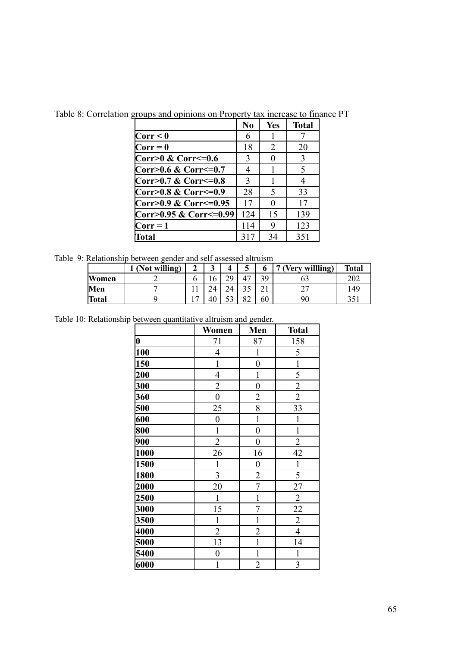|                        | N <sub>0</sub> | Yes         | <b>Total</b> |
|------------------------|----------------|-------------|--------------|
| Corr < 0               | 6              |             |              |
| $Corr = 0$             | 18             | 2           | 20           |
| Corr>0 & Corr<=0.6     | 3              |             | 3            |
| Corr>0.6 & Corr<=0.7   | 4              |             | 5            |
| Corr>0.7 & Corr<=0.8   | $\mathcal{E}$  |             |              |
| Corr>0.8 & Corr<=0.9   | 28             | $\varsigma$ | 33           |
| Corr>0.9 & Corr<=0.95  | 17             | 0           | 17           |
| Corr>0.95 & Corr<=0.99 | 124            | 15          | 139          |
| $Corr = 1$             | 114            | 9           | 123          |
| Total                  | 317            | 34          | 351          |

Table 8: Correlation groups and opinions on Property tax increase to finance PT

Table 9: Relationship between gender and self assessed altruism

|              | (Not willing) | ◠<br>车         | ω            | 4                        | ວ                         |                 | (Very willling)          | <b>Total</b> |
|--------------|---------------|----------------|--------------|--------------------------|---------------------------|-----------------|--------------------------|--------------|
| Women        |               |                | <sup>0</sup> | 29                       | 47                        | 39              | oq                       | 202          |
| Men          |               |                |              | 24                       | $\gamma$ $\epsilon$<br>υJ | $\sim$ 1<br>∠ ⊥ | $\overline{\phantom{a}}$ | 149          |
| <b>Total</b> |               | $\overline{ }$ | 40           | $\overline{\phantom{a}}$ | 82                        | 60              | 90                       | 351          |

Table 10: Relationship between quantitative altruism and gender.

|                  | Women            | Men              | <b>Total</b>   |
|------------------|------------------|------------------|----------------|
| $\boldsymbol{0}$ | 71               | 87               | 158            |
| 100              | $\overline{4}$   | $\mathbf{1}$     | 5              |
| 150              | $\mathbf{1}$     | $\overline{0}$   | $\mathbf{1}$   |
| 200              | $\overline{4}$   | $\mathbf{1}$     | 5              |
| 300              | $\overline{c}$   | $\boldsymbol{0}$ | $\overline{2}$ |
| 360              | $\overline{0}$   | $\overline{2}$   | $\overline{2}$ |
| 500              | 25               | $\overline{8}$   | 33             |
| 600              | $\overline{0}$   | $\mathbf{1}$     | 1              |
| 800              | $\mathbf{1}$     | $\overline{0}$   | $\mathbf{1}$   |
| 900              | $\overline{c}$   | $\boldsymbol{0}$ | $\overline{2}$ |
| 1000             | 26               | 16               | 42             |
| 1500             | $\mathbf{1}$     | $\boldsymbol{0}$ | $\mathbf 1$    |
| 1800             | 3                | $\overline{2}$   | 5              |
| 2000             | 20               | $\overline{7}$   | 27             |
| 2500             | $\mathbf{1}$     | $\mathbf{1}$     | $\overline{2}$ |
| 3000             | 15               | 7                | 22             |
| 3500             | $\mathbf{1}$     | $\overline{1}$   | $\overline{2}$ |
| 4000             | $\overline{2}$   | $\overline{c}$   | $\overline{4}$ |
| 5000             | 13               | $\mathbf{1}$     | 14             |
| 5400             | $\boldsymbol{0}$ | $\mathbf{1}$     | $\mathbf{1}$   |
| 6000             | 1                | $\overline{2}$   | 3              |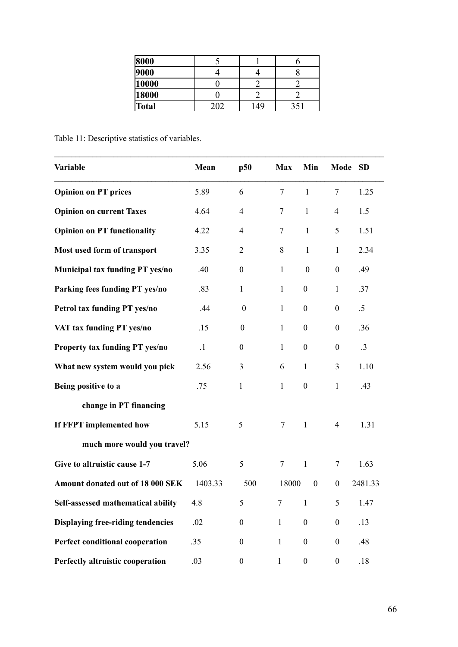| 8000         |     |  |
|--------------|-----|--|
| 9000         |     |  |
| 10000        |     |  |
| 18000        |     |  |
| <b>Total</b> | .49 |  |

Table 11: Descriptive statistics of variables.

| Variable                                 | Mean      | p50              | <b>Max</b>   | Min              | Mode SD          |                 |
|------------------------------------------|-----------|------------------|--------------|------------------|------------------|-----------------|
| <b>Opinion on PT prices</b>              | 5.89      | 6                | $\tau$       | $\mathbf{1}$     | $\overline{7}$   | 1.25            |
| <b>Opinion on current Taxes</b>          | 4.64      | $\overline{4}$   | $\tau$       | $\mathbf{1}$     | $\overline{4}$   | 1.5             |
| <b>Opinion on PT functionality</b>       | 4.22      | $\overline{4}$   | $\tau$       | $\mathbf{1}$     | 5                | 1.51            |
| Most used form of transport              | 3.35      | $\overline{2}$   | 8            | $\mathbf{1}$     | $\mathbf{1}$     | 2.34            |
| Municipal tax funding PT yes/no          | .40       | $\boldsymbol{0}$ | $\mathbf{1}$ | $\boldsymbol{0}$ | $\boldsymbol{0}$ | .49             |
| Parking fees funding PT yes/no           | .83       | $\mathbf{1}$     | $\mathbf{1}$ | $\boldsymbol{0}$ | $\mathbf{1}$     | .37             |
| Petrol tax funding PT yes/no             | .44       | $\boldsymbol{0}$ | $\mathbf{1}$ | $\boldsymbol{0}$ | $\boldsymbol{0}$ | $.5\,$          |
| VAT tax funding PT yes/no                | .15       | $\boldsymbol{0}$ | $\mathbf{1}$ | $\boldsymbol{0}$ | $\boldsymbol{0}$ | .36             |
| <b>Property tax funding PT yes/no</b>    | $\cdot$ 1 | $\boldsymbol{0}$ | $\mathbf{1}$ | $\boldsymbol{0}$ | $\boldsymbol{0}$ | $.3\phantom{0}$ |
| What new system would you pick           | 2.56      | 3                | 6            | $\mathbf{1}$     | 3                | 1.10            |
| Being positive to a                      | .75       | $\mathbf{1}$     | $\mathbf{1}$ | $\boldsymbol{0}$ | $\mathbf{1}$     | .43             |
| change in PT financing                   |           |                  |              |                  |                  |                 |
| If FFPT implemented how                  | 5.15      | 5                | $\tau$       | $\mathbf{1}$     | $\overline{4}$   | 1.31            |
| much more would you travel?              |           |                  |              |                  |                  |                 |
| Give to altruistic cause 1-7             | 5.06      | 5                | $\tau$       | $\mathbf{1}$     | 7                | 1.63            |
| Amount donated out of 18 000 SEK         | 1403.33   | 500              | 18000        | $\boldsymbol{0}$ | $\boldsymbol{0}$ | 2481.33         |
| Self-assessed mathematical ability       | 4.8       | 5                | 7            | $\mathbf{1}$     | 5                | 1.47            |
| <b>Displaying free-riding tendencies</b> | .02       | $\boldsymbol{0}$ | $\mathbf{1}$ | $\boldsymbol{0}$ | $\boldsymbol{0}$ | .13             |
| <b>Perfect conditional cooperation</b>   | .35       | $\boldsymbol{0}$ | $\mathbf{1}$ | $\boldsymbol{0}$ | $\boldsymbol{0}$ | .48             |
| Perfectly altruistic cooperation         | .03       | $\boldsymbol{0}$ | $\mathbf{1}$ | $\boldsymbol{0}$ | $\boldsymbol{0}$ | .18             |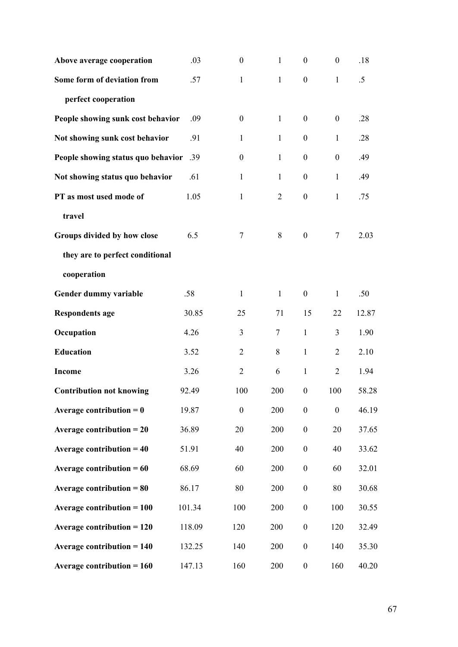| Above average cooperation                      | .03    | $\boldsymbol{0}$ | $\mathbf{1}$   | $\boldsymbol{0}$ | $\boldsymbol{0}$ | .18    |
|------------------------------------------------|--------|------------------|----------------|------------------|------------------|--------|
| Some form of deviation from                    | .57    | $\mathbf{1}$     | $\mathbf{1}$   | $\boldsymbol{0}$ | $\mathbf{1}$     | $.5\,$ |
| perfect cooperation                            |        |                  |                |                  |                  |        |
| People showing sunk cost behavior              | .09    | $\boldsymbol{0}$ | $\mathbf{1}$   | $\boldsymbol{0}$ | $\boldsymbol{0}$ | .28    |
| Not showing sunk cost behavior                 | .91    | $\mathbf{1}$     | $\mathbf{1}$   | $\boldsymbol{0}$ | $\mathbf{1}$     | .28    |
| People showing status quo behavior             | .39    | $\boldsymbol{0}$ | $\mathbf{1}$   | $\boldsymbol{0}$ | $\boldsymbol{0}$ | .49    |
| Not showing status quo behavior                | .61    | $\mathbf{1}$     | 1              | $\boldsymbol{0}$ | $\mathbf{1}$     | .49    |
| PT as most used mode of                        | 1.05   | $\mathbf{1}$     | $\overline{2}$ | $\boldsymbol{0}$ | $\mathbf{1}$     | .75    |
| travel                                         |        |                  |                |                  |                  |        |
| Groups divided by how close                    | 6.5    | 7                | 8              | $\boldsymbol{0}$ | $\tau$           | 2.03   |
| they are to perfect conditional                |        |                  |                |                  |                  |        |
| cooperation                                    |        |                  |                |                  |                  |        |
| Gender dummy variable                          | .58    | $\mathbf{1}$     | $\mathbf{1}$   | $\boldsymbol{0}$ | $\mathbf{1}$     | .50    |
| <b>Respondents age</b>                         | 30.85  | 25               | 71             | 15               | 22               | 12.87  |
| Occupation                                     | 4.26   | 3                | $\tau$         | $\mathbf{1}$     | 3                | 1.90   |
| <b>Education</b>                               | 3.52   | $\overline{2}$   | 8              | $\mathbf{1}$     | $\overline{2}$   | 2.10   |
| <b>Income</b>                                  | 3.26   | $\overline{2}$   | 6              | $\mathbf{1}$     | $\overline{2}$   | 1.94   |
| <b>Contribution not knowing</b>                | 92.49  | 100              | 200            | $\boldsymbol{0}$ | 100              | 58.28  |
| Average contribution $= 0$                     | 19.87  | $\boldsymbol{0}$ | 200            | $\boldsymbol{0}$ | $\boldsymbol{0}$ | 46.19  |
| Average contribution $= 20$                    | 36.89  | 20               | 200            | $\boldsymbol{0}$ | 20               | 37.65  |
| Average contribution $=$ 40                    | 51.91  | 40               | 200            | $\boldsymbol{0}$ | 40               | 33.62  |
| Average contribution $= 60$                    | 68.69  | 60               | 200            | $\boldsymbol{0}$ | 60               | 32.01  |
| Average contribution $= 80$                    | 86.17  | 80               | 200            | $\boldsymbol{0}$ | 80               | 30.68  |
| <b>Average contribution = <math>100</math></b> | 101.34 | 100              | 200            | $\boldsymbol{0}$ | 100              | 30.55  |
| <b>Average contribution = 120</b>              | 118.09 | 120              | 200            | $\boldsymbol{0}$ | 120              | 32.49  |
| <b>Average contribution = 140</b>              | 132.25 | 140              | 200            | $\boldsymbol{0}$ | 140              | 35.30  |
| Average contribution $= 160$                   | 147.13 | 160              | 200            | $\boldsymbol{0}$ | 160              | 40.20  |